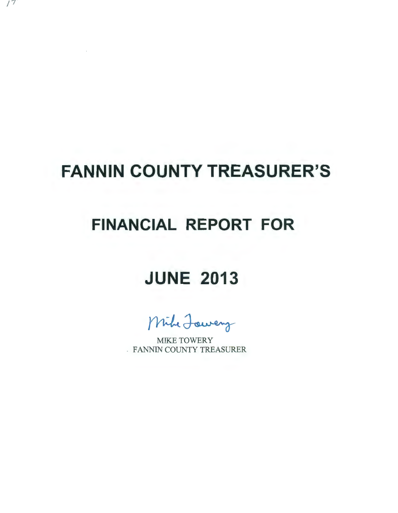# **FANNIN COUNTY TREASURER'S**

## **FINANCIAL REPORT FOR**

## **JUNE 2013**

Mihe Jowery

MIKE TOWERY . FANNIN COUNTY TREASURER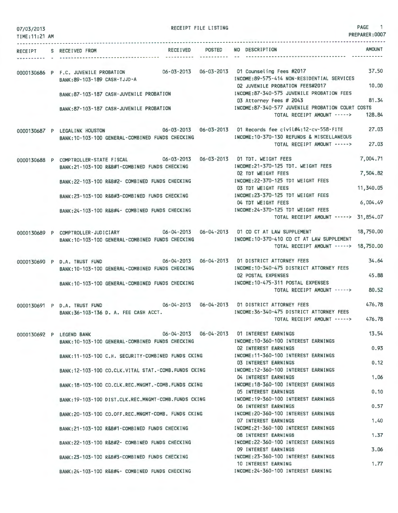| 07/03/2013<br>TIME: 11:21 AM                       | --------------------------------------                                                                                           | RECEIPT FILE LISTING |                                                                                                                      | PAGE<br>$\blacksquare$<br>PREPARER: 0007 |
|----------------------------------------------------|----------------------------------------------------------------------------------------------------------------------------------|----------------------|----------------------------------------------------------------------------------------------------------------------|------------------------------------------|
| . <u>.</u> .<br><b>RECEIPT</b><br><b>WARRANGER</b> | S RECEIVED FROM                                                                                                                  |                      | RECEIVED POSTED NO DESCRIPTION                                                                                       | <b>AMOUNT</b>                            |
|                                                    | 0000130686 P F.C. JUVENILE PROBATION 06-03-2013 06-03-2013 01 Counseling Fees #2017<br>BANK: 89-103-189 CASH-TJJD-A              |                      | INCOME: 89-575-414 NON-RESIDENTIAL SERVICES<br>02 JUVENILE PROBATION FEES#2017                                       | 37.50<br>10.00                           |
|                                                    | BANK: 87-103-187 CASH-JUVENILE PROBATION                                                                                         |                      | INCOME:87-340-575 JUVENILE PROBATION FEES<br>03 Attorney Fees # 2043                                                 | 81.34                                    |
|                                                    | BANK: 87-103-187 CASH-JUVENILE PROBATION                                                                                         |                      | INCOME:87-340-577 JUVENILE PROBATION COURT COSTS<br>TOTAL RECEIPT AMOUNT ----->                                      | 128.84                                   |
|                                                    | 0000130687 P LEGALINK HOUSTON<br>BANK: 10-103-100 GENERAL-COMBINED FUNDS CHECKING                                                | <b>Service State</b> | INCOME: 10-370-130 REFUNDS & MISCELLANEOUS<br>TOTAL RECEIPT AMOUNT ----->                                            | 27.03<br>27.03                           |
|                                                    | 0000130688 P COMPTROLLER-STATE FISCAL 06-03-2013 06-03-2013 01 TDT. WEIGHT FEES<br>BANK:21-103-100 R&B#1-COMBINED FUNDS CHECKING |                      | INCOME: 21-370-125 TDT. WEIGHT FEES                                                                                  | 7,004.71                                 |
|                                                    | BANK: 22-103-100 R&B#2- COMBINED FUNDS CHECKING                                                                                  |                      | <b>02 TDT WEIGHT FEES</b><br>INCOME: 22-370-125 TDT WEIGHT FEES<br>03 TDT WEIGHT FEES                                | 7,504.82<br>11,340.05                    |
|                                                    | BANK: 23-103-100 R&B#3-COMBINED FUNDS CHECKING                                                                                   |                      | INCOME: 23-370-125 TDT WEIGHT FEES<br>04 TDT WEIGHT FEES                                                             | 6,004.49                                 |
|                                                    | BANK:24-103-100 R&B#4- COMBINED FUNDS CHECKING                                                                                   |                      | INCOME:24-370-125 TDT WEIGHT FEES<br>TOTAL RECEIPT AMOUNT -----> 31,854.07                                           |                                          |
|                                                    | 0000130689 P COMPTROLLER-JUDICIARY<br>BANK: 10-103-100 GENERAL-COMBINED FUNDS CHECKING                                           |                      | 06-04-2013  06-04-2013  01 CO CT AT LAW SUPPLEMENT<br>INCOME: 10-370-410 CO CT AT LAW SUPPLEMENT                     | 18,750.00                                |
|                                                    |                                                                                                                                  |                      | TOTAL RECEIPT AMOUNT -----> 18,750.00                                                                                |                                          |
|                                                    | 0000130690 P D.A. TRUST FUND<br>BANK: 10-103-100 GENERAL-COMBINED FUNDS CHECKING                                                 |                      | 06-04-2013  06-04-2013  01 DISTRICT ATTORNEY FEES<br>INCOME: 10-340-475 DISTRICT ATTORNEY FEES<br>02 POSTAL EXPENSES | 34.64<br>45.88                           |
|                                                    | BANK: 10-103-100 GENERAL-COMBINED FUNDS CHECKING                                                                                 |                      | INCOME: 10-475-311 POSTAL EXPENSES<br>TOTAL RECEIPT AMOUNT ----->                                                    | 80.52                                    |
|                                                    | 0000130691 P D.A. TRUST FUND<br>BANK: 36-103-136 D. A. FEE CASH ACCT.                                                            |                      | INCOME: 36-340-475 DISTRICT ATTORNEY FEES                                                                            | 476.78<br>476.78                         |
|                                                    |                                                                                                                                  |                      | TOTAL RECEIPT AMOUNT ----->                                                                                          |                                          |
|                                                    | 0000130692 P LEGEND BANK<br>BANK: 10-103-100 GENERAL-COMBINED FUNDS CHECKING                                                     |                      | 06-04-2013  06-04-2013  01 INTEREST EARNINGS<br>INCOME: 10-360-100 INTEREST EARNINGS<br>02 INTEREST EARNINGS         | 13.54<br>0.93                            |
|                                                    | BANK:11-103-100 C.H. SECURITY-COMBINED FUNDS CKING                                                                               |                      | INCOME: 11-360-100 INTEREST EARNINGS<br>03 INTEREST EARNINGS                                                         | 0.12                                     |
|                                                    | BANK:12-103-100 CO.CLK.VITAL STAT.-COMB.FUNDS CKING                                                                              |                      | INCOME: 12-360-100 INTEREST EARNINGS<br>04 INTEREST EARNINGS                                                         | 1,06                                     |
|                                                    | BANK:18-103-100 CO.CLK.REC.MNGMT.-COMB.FUNDS CKING                                                                               |                      | INCOME: 18-360-100 INTEREST EARNINGS<br>05 INTEREST EARNINGS                                                         | 0.10                                     |
|                                                    | BANK: 19-103-100 DIST.CLK.REC.MNGMT-COMB.FUNDS CKING<br>BANK:20-103-100 CO.OFF.REC.MNGMT-COMB. FUNDS CKING                       |                      | INCOME: 19-360-100 INTEREST EARNINGS<br>06 INTEREST EARNINGS<br>INCOME: 20-360-100 INTEREST EARNINGS                 | 0.57                                     |
|                                                    | BANK:21-103-100 R&B#1-COMBINED FUNDS CHECKING                                                                                    |                      | 07 INTEREST EARNINGS<br>INCOME: 21-360-100 INTEREST EARNINGS                                                         | 1.40                                     |
|                                                    | BANK:22-103-100 R&B#2- COMBINED FUNDS CHECKING                                                                                   |                      | 08 INTEREST EARNINGS<br>INCOME: 22-360-100 INTEREST EARNINGS                                                         | 1.37                                     |
|                                                    | BANK: 23-103-100 R&B#3-COMBINED FUNDS CHECKING                                                                                   |                      | 09 INTEREST EARNINGS<br>INCOME: 23-360-100 INTEREST EARNINGS                                                         | 3.06                                     |
|                                                    | BANK:24-103-100 R&B#4- COMBINED FUNDS CHECKING                                                                                   |                      | 10 INTEREST EARNING<br>INCOME: 24-360-100 INTEREST EARNING                                                           | 1,77                                     |
|                                                    |                                                                                                                                  |                      |                                                                                                                      |                                          |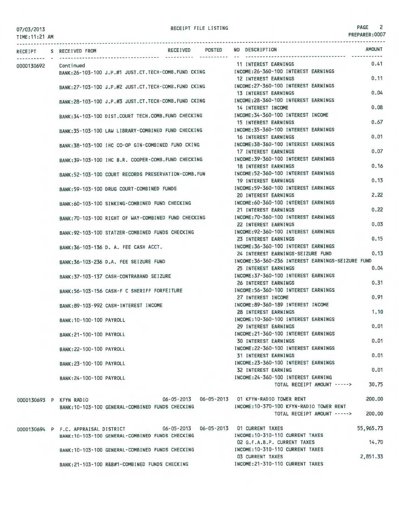TIME:11:21 AM

## RECEIPT FILE LISTING **PAGE** 2

|            |  | RECEIPT S RECEIVED FROM              |                                                      | RECEIVED POSTED |  | NO DESCRIPTION                                                                                                        |                             | <b>AMOUNT</b> |
|------------|--|--------------------------------------|------------------------------------------------------|-----------------|--|-----------------------------------------------------------------------------------------------------------------------|-----------------------------|---------------|
| 0000130692 |  | Continued                            |                                                      |                 |  | 11 INTEREST EARNINGS                                                                                                  |                             | 0.41          |
|            |  |                                      | BANK:26-103-100 J.P.#1 JUST.CT.TECH-COMB.FUND CKING  |                 |  | INCOME:26-360-100 INTEREST EARNINGS<br><b>12 INTEREST EARNINGS</b>                                                    |                             | 0.11          |
|            |  |                                      |                                                      |                 |  | BANK:27-103-100 J.P.#2 JUST.CT.TECH-COMB.FUND CKING MOOME:27-360-100 INTEREST EARNINGS<br><b>13 INTEREST EARNINGS</b> |                             | 0.04          |
|            |  |                                      | BANK:28-103-100 J.P.#3 JUST.CT.TECH-COMB.FUND CKING  |                 |  | INCOME:28-360-100 INTEREST EARNINGS                                                                                   |                             |               |
|            |  |                                      | BANK:34-103-100 DIST.COURT TECH.COMB.FUND CHECKING   |                 |  | 14 INTEREST INCOME<br>INCOME:34-360-100 INTEREST INCOME                                                               |                             | 0.08          |
|            |  |                                      | BANK:35-103-100 LAW LIBRARY-COMBINED FUND CHECKING   |                 |  | <b>15 INTEREST EARNINGS</b><br>INCOME: 35-360-100 INTEREST EARNINGS                                                   |                             | 0.67          |
|            |  |                                      |                                                      |                 |  | 16 INTEREST EARNINGS                                                                                                  |                             | 0.01          |
|            |  |                                      | BANK:38-103-100 IHC CO-OP GIN-COMBINED FUND CKING    |                 |  | INCOME: 38-360-100 INTEREST EARNINGS<br>17 INTEREST EARNINGS                                                          |                             | 0.07          |
|            |  |                                      | BANK:39-103-100 IHC B.R. COOPER-COMB. FUND CHECKING  |                 |  | INCOME: 39-360-100 INTEREST EARNINGS<br><b>18 INTEREST EARNINGS</b>                                                   |                             | 0.16          |
|            |  |                                      | BANK:52-103-100 COURT RECORDS PRESERVATION-COMB. FUN |                 |  | INCOME: 52-360-100 INTEREST EARNINGS                                                                                  |                             |               |
|            |  |                                      | BANK:59-103-100 DRUG COURT-COMBINED FUNDS            |                 |  | <b>19 INTEREST EARNINGS</b><br>INCOME: 59-360-100 INTEREST EARNINGS                                                   |                             | 0.13          |
|            |  |                                      |                                                      |                 |  | <b>20 INTEREST EARNINGS</b><br>INCOME:60-360-100 INTEREST EARNINGS                                                    |                             | 2.22          |
|            |  |                                      | BANK:60-103-100 SINKING-COMBINED FUND CHECKING       |                 |  | 21 INTEREST EARNINGS                                                                                                  |                             | 0.22          |
|            |  |                                      | BANK:70-103-100 RIGHT OF WAY-COMBINED FUND CHECKING  |                 |  | INCOME: 70-360-100 INTEREST EARNINGS<br>22 INTEREST EARNINGS                                                          |                             | 0.03          |
|            |  |                                      | BANK:92-103-100 STATZER-COMBINED FUNDS CHECKING      |                 |  | INCOME: 92-360-100 INTEREST EARNINGS<br>23 INTEREST EARNINGS                                                          |                             | 0.15          |
|            |  |                                      | BANK: 36-103-136 D. A. FEE CASH ACCT.                |                 |  | INCOME: 36-360-100 INTEREST EARNINGS                                                                                  |                             |               |
|            |  |                                      | BANK: 36-103-236 D.A. FEE SEIZURE FUND               |                 |  | 24 INTEREST EARNINGS-SEIZURE FUND<br>INCOME: 36-360-236 INTEREST EARNINGS-SEIZURE FUND                                |                             | 0.13          |
|            |  |                                      | BANK: 37-103-137 CASH-CONTRABAND SEIZURE             |                 |  | 25 INTEREST EARNINGS<br>INCOME:37-360-100 INTEREST EARNINGS                                                           |                             | 0.04          |
|            |  |                                      |                                                      |                 |  | 26 INTEREST EARNINGS                                                                                                  |                             | 0.31          |
|            |  |                                      | BANK:56-103-156 CASH-F C SHERIFF FORFEITURE          |                 |  | INCOME:56-360-100 INTEREST EARNINGS<br>27 INTEREST INCOME                                                             |                             | 0.91          |
|            |  |                                      | BANK: 89-103-992 CASH-INTEREST INCOME                |                 |  | INCOME:89-360-189 INTEREST INCOME<br><b>28 INTEREST EARNINGS</b>                                                      |                             | 1.10          |
|            |  | BANK: 10-100-100 PAYROLL             |                                                      |                 |  | INCOME: 10-360-100 INTEREST EARNINGS                                                                                  |                             |               |
|            |  | BANK: 21-100-100 PAYROLL             |                                                      |                 |  | 29 INTEREST EARNINGS<br>INCOME: 21-360-100 INTEREST EARNINGS                                                          |                             | 0.01          |
|            |  | BANK: 22-100-100 PAYROLL             |                                                      |                 |  | <b>30 INTEREST EARNINGS</b><br>INCOME: 22-360-100 INTEREST EARNINGS                                                   |                             | 0.01          |
|            |  |                                      |                                                      |                 |  | <b>31 INTEREST EARNINGS</b>                                                                                           |                             | 0.01          |
|            |  | BANK: 23-100-100 PAYROLL             |                                                      |                 |  | INCOME: 23-360-100 INTEREST EARNINGS<br><b>32 INTEREST EARNING</b>                                                    |                             | 0.01          |
|            |  | BANK: 24-100-100 PAYROLL             |                                                      |                 |  | INCOME: 24-360-100 INTEREST EARNING                                                                                   | TOTAL RECEIPT AMOUNT -----> | 30.75         |
|            |  |                                      |                                                      |                 |  | 06-05-2013  06-05-2013  01 KFYN-RADIO TOWER RENT                                                                      |                             | 200.00        |
|            |  | 0000130693 P KFYN RADIO              | BANK: 10-103-100 GENERAL-COMBINED FUNDS CHECKING     |                 |  | INCOME:10-370-100 KFYN-RADIO TOWER RENT                                                                               |                             |               |
|            |  |                                      |                                                      |                 |  |                                                                                                                       | TOTAL RECEIPT AMOUNT -----> | 200,00        |
|            |  | 0000130694 P F.C. APPRAISAL DISTRICT | BANK: 10-103-100 GENERAL-COMBINED FUNDS CHECKING     |                 |  | 06-05-2013  06-05-2013  01 CURRENT TAXES<br>INCOME: 10-310-110 CURRENT TAXES                                          |                             | 55,965.73     |
|            |  |                                      |                                                      |                 |  | 02 G.F.A.B.P. CURRENT TAXES                                                                                           |                             | 14.70         |
|            |  |                                      | BANK:10-103-100 GENERAL-COMBINED FUNDS CHECKING      |                 |  | INCOME: 10-310-110 CURRENT TAXES<br><b>03 CURRENT TAXES</b>                                                           |                             | 2,851.33      |
|            |  |                                      | BANK: 21-103-100 R&B#1-COMBINED FUNDS CHECKING       |                 |  | INCOME: 21-310-110 CURRENT TAXES                                                                                      |                             |               |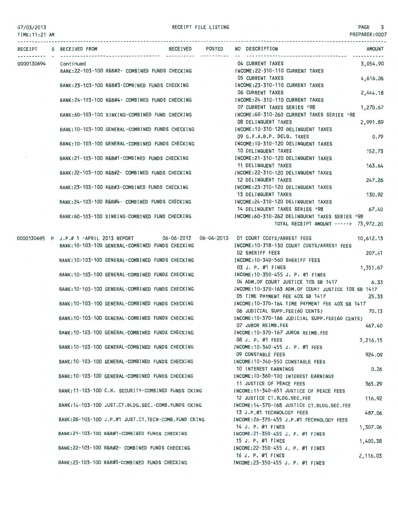#### TIME:11:21 AM

|            | RECEIPT S RECEIVED FROM                                                                  |  | RECEIVED POSTED NO DESCRIPTION                                       | <b>AMOUNT</b> |
|------------|------------------------------------------------------------------------------------------|--|----------------------------------------------------------------------|---------------|
|            |                                                                                          |  | 04 CURRENT TAXES                                                     | 3,054.90      |
| 0000130694 | Continued<br>BANK: 22-103-100 R&B#2- COMBINED FUNDS CHECKING                             |  | INCOME: 22-310-110 CURRENT TAXES                                     |               |
|            |                                                                                          |  | <b>05 CURRENT TAXES</b><br>4,616.06                                  |               |
|            | BANK: 23-103-100 R&B#3-COMBINED FUNDS CHECKING                                           |  | INCOME:23-310-110 CURRENT TAXES                                      |               |
|            |                                                                                          |  | <b>06 CURRENT TAXES</b><br>2,444.18                                  |               |
|            | BANK:24-103-100 R&B#4- COMBINED FUNDS CHECKING                                           |  | INCOME: 24-310-110 CURRENT TAXES                                     |               |
|            |                                                                                          |  | 07 CURRENT TAXES SERIES '98                                          | 1,270.67      |
|            | BANK:60-103-100 SINKING-COMBINED FUND CHECKING                                           |  | INCOME: 60-310-260 CURRENT TAXES SERIES '98                          |               |
|            |                                                                                          |  | 08 DELINQUENT TAXES<br>2,991.89                                      |               |
|            | BANK: 10-103-100 GENERAL-COMBINED FUNDS CHECKING                                         |  | INCOME: 10-310-120 DELINQUENT TAXES                                  |               |
|            |                                                                                          |  | 09 G.F.A.B.P. DELQ. TAXES                                            | 0.79          |
|            | BANK: 10-103-100 GENERAL-COMBINED FUNDS CHECKING                                         |  | INCOME:10-310-120 DELINQUENT TAXES                                   |               |
|            |                                                                                          |  | 10 DELINQUENT TAXES                                                  | 152.73        |
|            | BANK:21-103-100 R&B#1-COMBINED FUNDS CHECKING                                            |  | INCOME:21-310-120 DELINQUENT TAXES                                   |               |
|            |                                                                                          |  | 11 DELINQUENT TAXES                                                  | 163.64        |
|            | BANK: 22-103-100 R&B#2- COMBINED FUNDS CHECKING                                          |  | INCOME: 22-310-120 DELINQUENT TAXES                                  |               |
|            |                                                                                          |  | 12 DELINQUENT TAXES                                                  | 247.26        |
|            | BANK:23-103-100 R&B#3-COMBINED FUNDS CHECKING                                            |  | INCOME:23-310-120 DELINQUENT TAXES                                   |               |
|            |                                                                                          |  | 13 DELINQUENT TAXES                                                  | 130.92        |
|            | BANK:24-103-100 R&B#4- COMBINED FUNDS CHECKING                                           |  | INCOME: 24-310-120 DELINQUENT TAXES                                  |               |
|            |                                                                                          |  | 14 DELINQUENT TAXES SERIES '98                                       | 67.40         |
|            | BANK:60-103-100 SINKING-COMBINED FUND CHECKING                                           |  | INCOME:60-310-262 DELINQUENT TAXES SERIES '98                        |               |
|            |                                                                                          |  | TOTAL RECEIPT AMOUNT -----> 73,972.20                                |               |
|            | 0000130695 P J.P.# 1 -APRIL 2013 REPORT 06-06-2013 06-06-2013 01 COURT COSTS/ARREST FEES |  | 10,612.13                                                            |               |
|            | BANK: 10-103-100 GENERAL-COMBINED FUNDS CHECKING                                         |  | INCOME: 10-318-130 COURT COSTS/ARREST FEES                           |               |
|            |                                                                                          |  | <b>02 SHERIFF FEES</b>                                               | 207.41        |
|            | BANK:10-103-100 GENERAL-COMBINED FUNDS CHECKING                                          |  | INCOME:10-340-560 SHERIFF FEES                                       |               |
|            |                                                                                          |  | 03 J. P. #1 FINES<br>1,351.67                                        |               |
|            | BANK: 10-103-100 GENERAL-COMBINED FUNDS CHECKING                                         |  | INCOME: 10-350-455 J. P. #1 FINES                                    |               |
|            |                                                                                          |  | 04 ADM.OF COURT JUSTICE 10% SB 1417                                  | 6.33          |
|            | BANK: 10-103-100 GENERAL-COMBINED FUNDS CHECKING                                         |  | INCOME:10-370-163 ADM.OF COURT JUSTICE 10% SB 1417                   |               |
|            |                                                                                          |  | 05 TIME PAYMENT FEE 40% SB 1417                                      | 25.33         |
|            | BANK:10-103-100 GENERAL-COMBINED FUNDS CHECKING                                          |  | INCOME:10-370-164 TIME PAYMENT FEE 40% SB 1417                       |               |
|            |                                                                                          |  | 06 JUDICIAL SUPP.FEE(60 CENTS)                                       | 70.13         |
|            | BANK: 10-103-100 GENERAL-COMBINED FUNDS CHECKING                                         |  | INCOME: 10-370-166 JUDICIAL SUPP.FEE(60 CENTS)                       |               |
|            |                                                                                          |  | 07 JUROR REIMB.FEE                                                   | 467.40        |
|            | BANK: 10-103-100 GENERAL-COMBINED FUNDS CHECKING                                         |  | INCOME: 10-370-167 JUROR REIMB.FEE                                   |               |
|            |                                                                                          |  | 08 J. P. #1 FEES<br>3,216.15                                         |               |
|            | BANK: 10-103-100 GENERAL-COMBINED FUNDS CHECKING                                         |  | INCOME: 10-340-455 J. P. #1 FEES                                     |               |
|            |                                                                                          |  | 09 CONSTABLE FEES                                                    | 924.09        |
|            | BANK: 10-103-100 GENERAL-COMBINED FUNDS CHECKING                                         |  | INCOME:10-340-550 CONSTABLE FEES                                     |               |
|            |                                                                                          |  | 10 INTEREST EARNINGS<br>INCOME: 10-360-100 INTEREST EARNINGS         | 0.26          |
|            | BANK: 10-103-100 GENERAL-COMBINED FUNDS CHECKING                                         |  |                                                                      |               |
|            | BANK:11-103-100 C.H. SECURITY-COMBINED FUNDS CKING                                       |  | 11 JUSTICE OF PEACE FEES<br>INCOME: 11-340-651 JUSTICE OF PEACE FEES | 365.29        |
|            |                                                                                          |  | 12 JUSTICE CT.BLDG.SEC.FEE                                           | 116.92        |
|            | BANK: 14-103-100 JUST.CT.BLDG.SEC.-COMB.FUNDS CKING                                      |  | INCOME: 14-370-168 JUSTICE CT.BLDG.SEC.FEE                           |               |
|            |                                                                                          |  | 13 J.P.#1 TECHNOLOGY FEES                                            | 487.06        |
|            | BANK:26-103-100 J.P.#1 JUST.CT.TECH-COMB.FUND CKING                                      |  | INCOME:26-370-455 J.P.#1 TECHNOLOGY FEES                             |               |
|            |                                                                                          |  | 14 J. P. #1 FINES<br>1,307.06                                        |               |
|            | BANK:21-103-100 R&B#1-COMBINED FUNDS CHECKING                                            |  | INCOME: 21-350-455 J. P. #1 FINES                                    |               |
|            |                                                                                          |  | 15 J. P. #1 FINES<br>1,400.38                                        |               |
|            | BANK:22-103-100 R&B#2- COMBINED FUNDS CHECKING                                           |  | INCOME: 22-350-455 J. P. #1 FINES                                    |               |
|            |                                                                                          |  | 16 J. P. #1 FINES<br>2,116.03                                        |               |
|            | BANK:23-103-100 R&B#3-COMBINED FUNDS CHECKING                                            |  | INCOME:23-350-455 J. P. #1 FINES                                     |               |
|            |                                                                                          |  |                                                                      |               |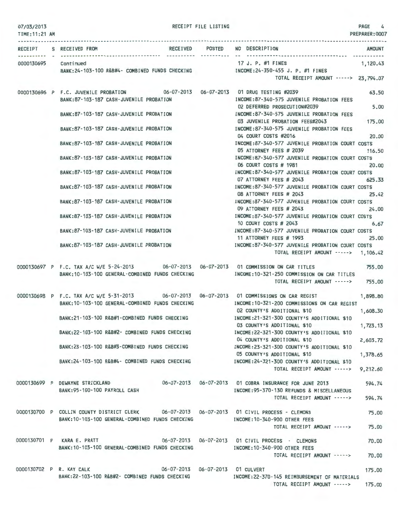RECEIPT FILE LISTING  $\begin{bmatrix} 4 & 4 \end{bmatrix}$ 

| TIME: 11:21 AM       |                                                                                                                                                | PREPARER: 0007                                                                                                          |
|----------------------|------------------------------------------------------------------------------------------------------------------------------------------------|-------------------------------------------------------------------------------------------------------------------------|
|                      | RECEIPT S RECEIVED FROM                                                                                                                        | RECEIVED POSTED NO DESCRIPTION<br><b>AMOUNT</b>                                                                         |
| 0000130695 Continued | BANK:24-103-100 R&B#4- COMBINED FUNDS CHECKING [NCOME:24-350-455 J. P. #1 FINES                                                                | 17 J. P. #1 FINES<br>1,120.43                                                                                           |
|                      |                                                                                                                                                | TOTAL RECEIPT AMOUNT -----> 23,794.07                                                                                   |
|                      | 0000130696 P F.C. JUVENILE PROBATION 06-07-2013 06-07-2013 01 DRUG TESTING #2039<br>BANK:87-103-187 CASH-JUVENILE PROBATION                    | 63.50<br>INCOME:87-340-575 JUVENILE PROBATION FEES                                                                      |
|                      | BANK:87-103-187 CASH-JUVENILE PROBATION                                                                                                        | 5.00<br>02 DEFERRED PROSECUTION#2039<br>INCOME:87-340-575 JUVENILE PROBATION FEES                                       |
|                      | BANK:87-103-187 CASH-JUVENILE PROBATION                                                                                                        | 175.00<br>03 JUVENILE PROBATION FEES#2043<br>INCOME:87-340-575 JUVENILE PROBATION FEES                                  |
|                      | BANK:87-103-187 CASH-JUVENILE PROBATION                                                                                                        | 04 COURT COSTS #2016<br>20.00<br>INCOME: 87-340-577 JUVENILE PROBATION COURT COSTS<br>05 ATTORNEY FEES # 2039<br>116.50 |
|                      | BANK: 87-103-187 CASH-JUVENILE PROBATION                                                                                                       | INCOME:87-340-577 JUVENILE PROBATION COURT COSTS<br>06 COURT COSTS # 1981<br>20,00                                      |
|                      | BANK:87-103-187 CASH-JUVENILE PROBATION                                                                                                        | INCOME:87-340-577 JUVENILE PROBATION COURT COSTS<br>07 ATTORNEY FEES # 2043<br>625.33                                   |
|                      | BANK:87-103-187 CASH-JUVENILE PROBATION                                                                                                        | INCOME:87-340-577 JUVENILE PROBATION COURT COSTS<br>25.42<br>08 ATTORNEY FEES # 2043                                    |
|                      | BANK:87-103-187 CASH-JUVENILE PROBATION                                                                                                        | INCOME:87-340-577 JUVENILE PROBATION COURT COSTS<br>09 ATTORNEY FEES # 2043<br>24,00                                    |
|                      | BANK:87-103-187 CASH-JUVENILE PROBATION                                                                                                        | INCOME:87-340-577 JUVENILE PROBATION COURT COSTS<br>10 COURT COSTS # 2043<br>6.67                                       |
|                      | BANK:87-103-187 CASH-JUVENILE PROBATION                                                                                                        | INCOME:87-340-577 JUVENILE PROBATION COURT COSTS<br>11 ATTORNEY FEES # 1993<br>25,00                                    |
|                      | BANK:87-103-187 CASH-JUVENILE PROBATION                                                                                                        | INCOME:87-340-577 JUVENILE PROBATION COURT COSTS<br>TOTAL RECEIPT AMOUNT -----> 1,106.42                                |
|                      | 0000130697 P F.C. TAX A/C W/E 5-24-2013 06-07-2013 06-07-2013 01 COMMISSION ON CAR TITLES<br>BANK: 10-103-100 GENERAL-COMBINED FUNDS CHECKING  | 755.00<br>INCOME:10-321-250 COMMISSION ON CAR TITLES                                                                    |
|                      |                                                                                                                                                | 755.00<br>TOTAL RECEIPT AMOUNT ----->                                                                                   |
|                      | 0000130698 P F.C. TAX A/C W/E 5-31-2013 06-07-2013 06-07-2013 01 COMMISSIONS ON CAR REGIST<br>BANK: 10-103-100 GENERAL-COMBINED FUNDS CHECKING | 1,898.80<br>INCOME:10-321-200 COMMISSIONS ON CAR REGIST                                                                 |
|                      | BANK:21-103-100 R&B#1-COMBINED FUNDS CHECKING                                                                                                  | 02 COUNTY'S ADDITIONAL \$10<br>1,608.30<br>INCOME: 21-321-300 COUNTY'S ADDITIONAL \$10                                  |
|                      | BANK:22-103-100 R&B#2- COMBINED FUNDS CHECKING                                                                                                 | 1,723.13<br>03 COUNTY'S ADDITIONAL \$10<br>INCOME: 22-321-300 COUNTY'S ADDITIONAL \$10                                  |
|                      | BANK:23-103-100 R&B#3-COMBINED FUNDS CHECKING                                                                                                  | 04 COUNTY'S ADDITIONAL \$10<br>2,603.72<br>INCOME:23-321-300 COUNTY'S ADDITIONAL \$10                                   |
|                      | BANK:24-103-100 R&B#4- COMBINED FUNDS CHECKING [INCOME:24-321-300 COUNTY'S ADDITIONAL \$10                                                     | 05 COUNTY'S ADDITIONAL \$10<br>1,378.65                                                                                 |
|                      |                                                                                                                                                | TOTAL RECEIPT AMOUNT -----><br>9,212.60                                                                                 |
|                      | 0000130699 P DEWAYNE STRICKLAND 06-07-2013 06-07-2013 01 COBRA INSURANCE FOR JUNE 2013<br>BANK:95-100-100 PAYROLL CASH                         | 594.74<br>INCOME: 95-370-130 REFUNDS & MISCELLANEOUS                                                                    |
|                      |                                                                                                                                                | 594.74<br>TOTAL RECEIPT AMOUNT ----->                                                                                   |
|                      | 0000130700 P COLLIN COUNTY DISTRICT CLERK 06-07-2013 06-07-2013 01 CIVIL PROCESS - CLEMONS<br>BANK:10-103-100 GENERAL-COMBINED FUNDS CHECKING  | 75,00<br>INCOME:10-340-900 OTHER FEES                                                                                   |
|                      |                                                                                                                                                | TOTAL RECEIPT AMOUNT -----><br>75,00                                                                                    |
|                      | 0000130701 P KARA E. PRATT<br>BANK: 10-103-100 GENERAL-COMBINED FUNDS CHECKING                                                                 | 06-07-2013  06-07-2013  01 CIVIL PROCESS - CLEMONS<br>70.00<br>INCOME:10-340-900 OTHER FEES                             |
|                      |                                                                                                                                                | TOTAL RECEIPT AMOUNT -----><br>70,00                                                                                    |
|                      | 0000130702 P R. KAY CALK 06-07-2013 06-07-2013 01 CULVERT<br>BANK:22-103-100 R&B#2- COMBINED FUNDS CHECKING                                    | 175.00<br>INCOME:22-370-145 REIMBURSEMENT OF MATERIALS                                                                  |
|                      |                                                                                                                                                | TOTAL RECEIPT AMOUNT -----><br>175.00                                                                                   |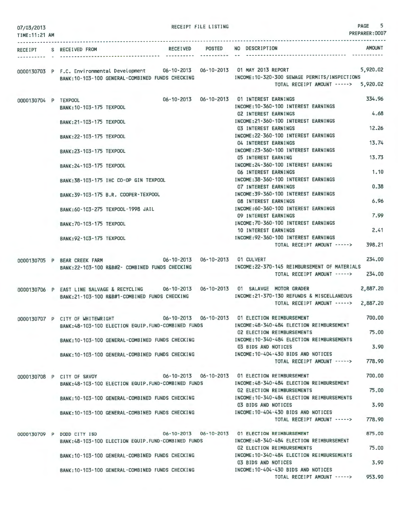| 07/03/2013<br>TIME: 11:21 AM |                                  |                                                                                                                 | RECEIPT FILE LISTING |                                                                                                                                                                                                                              | 5<br>PAGE<br>PREPARER: 0007 |
|------------------------------|----------------------------------|-----------------------------------------------------------------------------------------------------------------|----------------------|------------------------------------------------------------------------------------------------------------------------------------------------------------------------------------------------------------------------------|-----------------------------|
|                              | RECEIPT S RECEIVED FROM          |                                                                                                                 |                      | RECEIVED POSTED NO DESCRIPTION                                                                                                                                                                                               | <b>AMOUNT</b>               |
|                              |                                  |                                                                                                                 |                      | 0000130703 P F.C. Environmental Development 06-10-2013 06-10-2013 01 MAY 2013 REPORT<br>BANK:10-103-100 GENERAL-COMBINED FUNDS CHECKING INCOME:10-320-300 SEWAGE PERMITS/INSPECTIONS<br>TOTAL RECEIPT AMOUNT -----> 5,920.02 | 5,920.02                    |
| 0000130704 P TEXPOOL         | BANK: 10-103-175 TEXPOOL         |                                                                                                                 |                      | 06-10-2013  06-10-2013  01 INTEREST EARNINGS<br>INCOME: 10-360-100 INTEREST EARNINGS                                                                                                                                         | 334.96                      |
|                              | BANK: 21-103-175 TEXPOOL         |                                                                                                                 |                      | <b>02 INTEREST EARNINGS</b><br>INCOME: 21-360-100 INTEREST EARNINGS                                                                                                                                                          | 4.68                        |
|                              | BANK: 22-103-175 TEXPOOL         |                                                                                                                 |                      | <b>03 INTEREST EARNINGS</b><br>INCOME: 22-360-100 INTEREST EARNINGS                                                                                                                                                          | 12.26                       |
|                              | BANK: 23-103-175 TEXPOOL         |                                                                                                                 |                      | 04 INTEREST EARNINGS<br>INCOME: 23-360-100 INTEREST EARNINGS                                                                                                                                                                 | 13.74                       |
|                              | BANK: 24-103-175 TEXPOOL         |                                                                                                                 |                      | 05 INTEREST EARNING<br>INCOME: 24-360-100 INTEREST EARNING                                                                                                                                                                   | 13.73                       |
|                              |                                  | BANK: 38-103-175 IHC CO-OP GIN TEXPOOL                                                                          |                      | 06 INTEREST EARNINGS<br>INCOME: 38-360-100 INTEREST EARNINGS<br><b>07 INTEREST EARNINGS</b>                                                                                                                                  | 1,10<br>0.38                |
|                              |                                  | BANK: 39-103-175 B.R. COOPER-TEXPOOL                                                                            |                      | INCOME: 39-360-100 INTEREST EARNINGS<br><b>08 INTEREST EARNINGS</b>                                                                                                                                                          | 6.96                        |
|                              |                                  | BANK:60-103-275 TEXPOOL-1998 JAIL                                                                               |                      | INCOME: 60-360-100 INTEREST EARNINGS<br>09 INTEREST EARNINGS                                                                                                                                                                 | 7.99                        |
|                              | BANK: 70-103-175 TEXPOOL         |                                                                                                                 |                      | INCOME: 70-360-100 INTEREST EARNINGS<br>10 INTEREST EARNINGS                                                                                                                                                                 | 2.41                        |
|                              | BANK: 92-103-175 TEXPOOL         |                                                                                                                 |                      | INCOME: 92-360-100 INTEREST EARNINGS<br>TOTAL RECEIPT AMOUNT ----->                                                                                                                                                          | 398.21                      |
|                              |                                  | 0000130705 P BEAR CREEK FARM 66-10-2013 06-10-2013 01 CULVERT<br>BANK:22-103-100 R&B#2- COMBINED FUNDS CHECKING |                      | INCOME: 22-370-145 REIMBURSEMENT OF MATERIALS                                                                                                                                                                                | 234,00                      |
|                              |                                  |                                                                                                                 |                      | TOTAL RECEIPT AMOUNT ----->                                                                                                                                                                                                  | 234,00                      |
|                              |                                  | BANK:21-103-100 R&B#1-COMBINED FUNDS CHECKING                                                                   |                      | 0000130706 P EAST LINE SALVAGE & RECYCLING 06-10-2013 06-10-2013 01 SALAVGE MOTOR GRADER<br>INCOME: 21-370-130 REFUNDS & MISCELLANEOUS<br>TOTAL RECEIPT AMOUNT ----->                                                        | 2,887.20<br>2,887.20        |
|                              | 0000130707 P CITY OF WHITEWRIGHT | BANK:48-103-100 ELECTION EQUIP.FUND-COMBINED FUNDS                                                              |                      | 06-10-2013  06-10-2013  01 ELECTION REIMBURSEMENT<br>INCOME: 48-340-484 ELECTION REIMBURSEMENT                                                                                                                               | 700.00                      |
|                              |                                  | BANK: 10-103-100 GENERAL-COMBINED FUNDS CHECKING                                                                |                      | 02 ELECTION REIMBURSEMENTS<br>INCOME: 10-340-484 ELECTION REIMBURSEMENTS                                                                                                                                                     | 75,00                       |
|                              |                                  | BANK: 10-103-100 GENERAL-COMBINED FUNDS CHECKING                                                                |                      | 03 BIDS AND NOTICES<br>INCOME: 10-404-430 BIDS AND NOTICES                                                                                                                                                                   | 3.90                        |
|                              |                                  |                                                                                                                 |                      | TOTAL RECEIPT AMOUNT -----><br>06-10-2013  06-10-2013  01 ELECTION REIMBURSEMENT                                                                                                                                             | 778.90<br>700.00            |
|                              | 0000130708 P CITY OF SAVOY       | BANK: 48-103-100 ELECTION EQUIP. FUND-COMBINED FUNDS                                                            |                      | INCOME: 48-340-484 ELECTION REIMBURSEMENT<br><b>02 ELECTION REIMBURSEMENTS</b>                                                                                                                                               | 75.00                       |
|                              |                                  | BANK: 10-103-100 GENERAL-COMBINED FUNDS CHECKING                                                                |                      | INCOME: 10-340-484 ELECTION REIMBURSEMENTS<br>03 BIDS AND NOTICES                                                                                                                                                            | 3.90                        |
|                              |                                  | BANK: 10-103-100 GENERAL-COMBINED FUNDS CHECKING                                                                |                      | INCOME: 10-404-430 BIDS AND NOTICES<br>TOTAL RECEIPT AMOUNT ----->                                                                                                                                                           | 778.90                      |
|                              | 0000130709 P DODD CITY ISD       | BANK:48-103-100 ELECTION EQUIP.FUND-COMBINED FUNDS                                                              |                      | 06-10-2013   06-10-2013   01 ELECTION REIMBURSEMENT<br>INCOME: 48-340-484 ELECTION REIMBURSEMENT                                                                                                                             | 875.00                      |
|                              |                                  | BANK: 10-103-100 GENERAL-COMBINED FUNDS CHECKING                                                                |                      | 02 ELECTION REIMBURSEMENTS<br>INCOME: 10-340-484 ELECTION REIMBURSEMENTS                                                                                                                                                     | 75.00                       |
|                              |                                  | BANK: 10-103-100 GENERAL-COMBINED FUNDS CHECKING                                                                |                      | 03 BIDS AND NOTICES<br>INCOME: 10-404-430 BIDS AND NOTICES                                                                                                                                                                   | 3.90                        |
|                              |                                  |                                                                                                                 |                      | TOTAL RECEIPT AMOUNT ----->                                                                                                                                                                                                  | 953.90                      |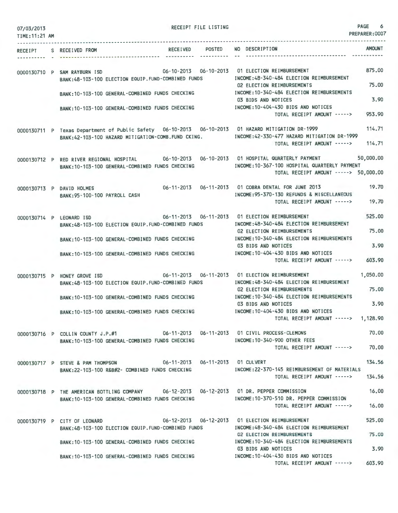| 07/03/2013<br>TIME: 11:21 AM |                                                                                                                                                         |                       | RECEIPT FILE LISTING |                                                                                                                                                    | PAGE<br>6<br>PREPARER: 0007 |
|------------------------------|---------------------------------------------------------------------------------------------------------------------------------------------------------|-----------------------|----------------------|----------------------------------------------------------------------------------------------------------------------------------------------------|-----------------------------|
| RECEIPT<br>---------         | S RECEIVED FROM                                                                                                                                         | RECEIVED POSTED       | -----------          | NO DESCRIPTION                                                                                                                                     | <b>AMOUNT</b>               |
|                              | 0000130710 P SAM RAYBURN ISD<br>BANK:48-103-100 ELECTION EQUIP.FUND-COMBINED FUNDS<br>BANK: 10-103-100 GENERAL-COMBINED FUNDS CHECKING                  | 06-10-2013 06-10-2013 |                      | 01 ELECTION REIMBURSEMENT<br>INCOME: 48-340-484 ELECTION REIMBURSEMENT<br>02 ELECTION REIMBURSEMENTS<br>INCOME: 10-340-484 ELECTION REIMBURSEMENTS | 875,00<br>75.00             |
|                              | BANK: 10-103-100 GENERAL-COMBINED FUNDS CHECKING                                                                                                        |                       |                      | 03 BIDS AND NOTICES<br>INCOME: 10-404-430 BIDS AND NOTICES<br>TOTAL RECEIPT AMOUNT ----->                                                          | 3.90<br>953.90              |
|                              | 0000130711 P Texas Department of Public Safety 06-10-2013 06-10-2013 01 HAZARD MITIGATION DR-1999<br>BANK:42-103-100 HAZARD MITIGATION-COMB.FUND CKING. |                       |                      | INCOME:42-330-477 HAZARD MITIGATION DR-1999                                                                                                        | 114.71                      |
|                              |                                                                                                                                                         |                       |                      | TOTAL RECEIPT AMOUNT ----->                                                                                                                        | 114.71                      |
|                              | 0000130712 P RED RIVER REGIONAL HOSPITAL<br>BANK: 10-103-100 GENERAL-COMBINED FUNDS CHECKING                                                            |                       |                      | INCOME: 10-367-100 HOSPITAL QUARTERLY PAYMENT<br>TOTAL RECEIPT AMOUNT -----> 50,000.00                                                             | 50,000.00                   |
|                              | 0000130713 P DAVID HOLMES<br>BANK: 95-100-100 PAYROLL CASH                                                                                              | 06-11-2013 06-11-2013 |                      | 01 COBRA DENTAL FOR JUNE 2013<br>INCOME: 95-370-130 REFUNDS & MISCELLANEOUS<br>TOTAL RECEIPT AMOUNT ----->                                         | 19.70<br>19.70              |
|                              |                                                                                                                                                         |                       |                      |                                                                                                                                                    |                             |
|                              | 0000130714 P LEONARD ISD<br>BANK:48-103-100 ELECTION EQUIP.FUND-COMBINED FUNDS                                                                          |                       |                      | 06-11-2013  06-11-2013  01 ELECTION REIMBURSEMENT<br>INCOME:48-340-484 ELECTION REIMBURSEMENT<br>02 ELECTION REIMBURSEMENTS                        | 525.00<br>75.00             |
|                              | BANK: 10-103-100 GENERAL-COMBINED FUNDS CHECKING                                                                                                        |                       |                      | INCOME: 10-340-484 ELECTION REIMBURSEMENTS<br>03 BIDS AND NOTICES                                                                                  | 3.90                        |
|                              | BANK: 10-103-100 GENERAL-COMBINED FUNDS CHECKING                                                                                                        |                       |                      | INCOME: 10-404-430 BIDS AND NOTICES<br>TOTAL RECEIPT AMOUNT ----->                                                                                 | 603.90                      |
|                              | and the second control of the<br>0000130715 P HONEY GROVE ISD<br>BANK:48-103-100 ELECTION EQUIP.FUND-COMBINED FUNDS                                     | 06-11-2013            | $06 - 11 - 2013$     | 01 ELECTION REIMBURSEMENT<br>INCOME: 48-340-484 ELECTION REIMBURSEMENT<br>02 ELECTION REIMBURSEMENTS                                               | 1,050.00<br>75.00           |
|                              | BANK: 10-103-100 GENERAL-COMBINED FUNDS CHECKING                                                                                                        |                       |                      | INCOME: 10-340-484 ELECTION REIMBURSEMENTS<br>03 BIDS AND NOTICES                                                                                  | 3.90                        |
|                              | BANK: 10-103-100 GENERAL-COMBINED FUNDS CHECKING                                                                                                        |                       |                      | INCOME: 10-404-430 BIDS AND NOTICES<br>TOTAL RECEIPT AMOUNT -----> 1,128.90                                                                        |                             |
|                              | 0000130716 P COLLIN COUNTY J.P.#1<br>BANK: 10-103-100 GENERAL-COMBINED FUNDS CHECKING                                                                   |                       |                      | INCOME:10-340-900 OTHER FEES                                                                                                                       | 70.00                       |
|                              |                                                                                                                                                         |                       |                      | TOTAL RECEIPT AMOUNT ----->                                                                                                                        | 70,00                       |
|                              | 0000130717 P STEVE & PAM THOMPSON 06-11-2013 06-11-2013 01 CULVERT<br>BANK:22-103-100 R&B#2- COMBINED FUNDS CHECKING                                    |                       |                      | INCOME: 22-370-145 REIMBURSEMENT OF MATERIALS<br>TOTAL RECEIPT AMOUNT ----->                                                                       | 134.56<br>134.56            |
|                              | 0000130718 P THE AMERICAN BOTTLING COMPANY 06-12-2013 06-12-2013 01 DR. PEPPER COMMISSION                                                               |                       |                      |                                                                                                                                                    | 16.00                       |
|                              | BANK: 10-103-100 GENERAL-COMBINED FUNDS CHECKING                                                                                                        |                       |                      | INCOME:10-370-510 DR. PEPPER COMMISSION<br>TOTAL RECEIPT AMOUNT ----->                                                                             | 16,00                       |
|                              | 0000130719 P CITY OF LEONARD                                                                                                                            |                       |                      |                                                                                                                                                    | 525.00                      |
|                              | BANK:48-103-100 ELECTION EQUIP.FUND-COMBINED FUNDS                                                                                                      |                       |                      | INCOME: 48-340-484 ELECTION REIMBURSEMENT<br>02 ELECTION REIMBURSEMENTS<br>INCOME: 10-340-484 ELECTION REIMBURSEMENTS                              | 75.00                       |
|                              | BANK:10-103-100 GENERAL-COMBINED FUNDS CHECKING                                                                                                         |                       |                      | 03 BIDS AND NOTICES<br>INCOME: 10-404-430 BIDS AND NOTICES                                                                                         | 3.90                        |
|                              | BANK:10-103-100 GENERAL-COMBINED FUNDS CHECKING                                                                                                         |                       |                      | TOTAL RECEIPT AMOUNT ----->                                                                                                                        | 603.90                      |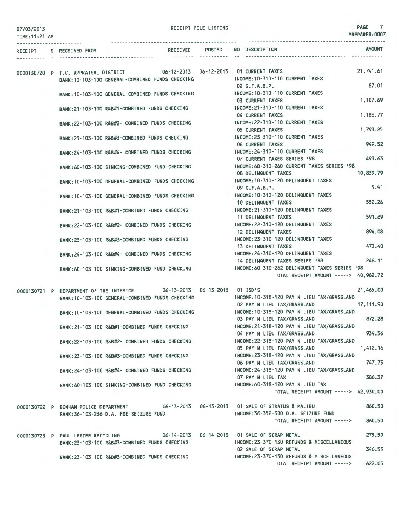|  | 07/03/2013 |  |
|--|------------|--|
|--|------------|--|

| 0770372013<br>TIME: 11:21 AM |                                                                             | PREPARER: 0007                                                                       |
|------------------------------|-----------------------------------------------------------------------------|--------------------------------------------------------------------------------------|
|                              | RECEIPT S RECEIVED FROM                                                     | <b>AMOUNT</b><br>RECEIVED POSTED NO DESCRIPTION                                      |
|                              | 0000130720 P F.C. APPRAISAL DISTRICT 06-12-2013 06-12-2013 01 CURRENT TAXES | 21,741.61                                                                            |
|                              | BANK: 10-103-100 GENERAL-COMBINED FUNDS CHECKING                            | INCOME: 10-310-110 CURRENT TAXES                                                     |
|                              |                                                                             | 87.01<br>02 G.F.A.B.P.                                                               |
|                              | BANK: 10-103-100 GENERAL-COMBINED FUNDS CHECKING                            | INCOME: 10-310-110 CURRENT TAXES                                                     |
|                              |                                                                             | 1,107.69<br>03 CURRENT TAXES                                                         |
|                              | BANK: 21-103-100 R&B#1-COMBINED FUNDS CHECKING                              | INCOME: 21-310-110 CURRENT TAXES                                                     |
|                              | BANK:22-103-100 R&B#2- COMBINED FUNDS CHECKING                              | 04 CURRENT TAXES<br>1,186.77<br>INCOME: 22-310-110 CURRENT TAXES                     |
|                              |                                                                             | 1,793.25<br><b>05 CURRENT TAXES</b>                                                  |
|                              | BANK:23-103-100 R&B#3-COMBINED FUNDS CHECKING                               | INCOME: 23-310-110 CURRENT TAXES                                                     |
|                              |                                                                             | 949.52<br><b>06 CURRENT TAXES</b>                                                    |
|                              | BANK: 24-103-100 R&B#4- COMBINED FUNDS CHECKING                             | INCOME: 24-310-110 CURRENT TAXES                                                     |
|                              |                                                                             | 493.63<br>07 CURRENT TAXES SERIES '98                                                |
|                              | BANK:60-103-100 SINKING-COMBINED FUND CHECKING                              | INCOME: 60-310-260 CURRENT TAXES SERIES '98                                          |
|                              |                                                                             | 10,839.79<br><b>08 DELINQUENT TAXES</b>                                              |
|                              | BANK: 10-103-100 GENERAL-COMBINED FUNDS CHECKING                            | INCOME: 10-310-120 DELINQUENT TAXES<br>5.91<br>09 G.F.A.B.P.                         |
|                              | BANK: 10-103-100 GENERAL-COMBINED FUNDS CHECKING                            | INCOME: 10-310-120 DELINQUENT TAXES                                                  |
|                              |                                                                             | 552.26<br>10 DELINQUENT TAXES                                                        |
|                              | BANK:21-103-100 R&B#1-COMBINED FUNDS CHECKING                               | INCOME: 21-310-120 DELINQUENT TAXES                                                  |
|                              |                                                                             | 591.69<br>11 DELINQUENT TAXES                                                        |
|                              | BANK:22-103-100 R&B#2- COMBINED FUNDS CHECKING                              | INCOME: 22-310-120 DELINQUENT TAXES                                                  |
|                              |                                                                             | 894.08<br>12 DELINQUENT TAXES                                                        |
|                              | BANK:23-103-100 R&B#3-COMBINED FUNDS CHECKING                               | INCOME: 23-310-120 DELINQUENT TAXES                                                  |
|                              |                                                                             | 473.40<br>13 DELINQUENT TAXES                                                        |
|                              | BANK:24-103-100 R&B#4- COMBINED FUNDS CHECKING                              | INCOME: 24-310-120 DELINQUENT TAXES<br>246.11                                        |
|                              | BANK:60-103-100 SINKING-COMBINED FUND CHECKING                              | 14 DELINQUENT TAXES SERIES '98<br>INCOME:60-310-262 DELINQUENT TAXES SERIES '98      |
|                              |                                                                             | TOTAL RECEIPT AMOUNT -----> 40,962.72                                                |
|                              | 0000130721 P DEPARTMENT OF THE INTERIOR 06-13-2013 06-13-2013 01 ISD'S      | 21,465.00                                                                            |
|                              | BANK: 10-103-100 GENERAL-COMBINED FUNDS CHECKING                            | INCOME: 10-318-120 PAY N LIEU TAX/GRASSLAND                                          |
|                              |                                                                             | 17, 111.90<br>02 PAY N LIEU TAX/GRASSLAND                                            |
|                              | BANK:10-103-100 GENERAL-COMBINED FUNDS CHECKING                             | INCOME: 10-318-120 PAY N LIEU TAX/GRASSLAND                                          |
|                              |                                                                             | 872.28<br>03 PAY N LIEU TAX/GRASSLAND                                                |
|                              | BANK:21-103-100 R&B#1-COMBINED FUNDS CHECKING                               | INCOME: 21-318-120 PAY N LIEU TAX/GRASSLAND<br>934.56<br>04 PAY N LIEU TAX/GRASSLAND |
|                              | BANK:22-103-100 R&B#2- COMBINED FUNDS CHECKING                              | INCOME: 22-318-120 PAY N LIEU TAX/GRASSLAND                                          |
|                              |                                                                             | 05 PAY N LIEU TAX/GRASSLAND<br>1,412.16                                              |
|                              | BANK:23-103-100 R&B#3-COMBINED FUNDS CHECKING                               | INCOME: 23-318-120 PAY N LIEU TAX/GRASSLAND                                          |
|                              |                                                                             | 747.73<br>06 PAY N LIEU TAX/GRASSLAND                                                |
|                              | BANK: 24-103-100 R&B#4- COMBINED FUNDS CHECKING                             | INCOME: 24-318-120 PAY N LIEU TAX/GRASSLAND                                          |
|                              |                                                                             | 386.37<br>07 PAY N LIEU TAX                                                          |
|                              | BANK:60-103-100 SINKING-COMBINED FUND CHECKING                              | INCOME: 60-318-120 PAY N LIEU TAX<br>TOTAL RECEIPT AMOUNT -----> 42,930.00           |
|                              |                                                                             |                                                                                      |
|                              | 0000130722 P BONHAM POLICE DEPARTMENT                                       | 860.50                                                                               |
|                              | BANK:36-103-236 D.A. FEE SEIZURE FUND                                       | INCOME: 36-352-300 D.A. SEIZURE FUND                                                 |
|                              |                                                                             | 860,50<br>TOTAL RECEIPT AMOUNT ----->                                                |
|                              | the control of the control of<br>0000130723 P PAUL LESTER RECYCLING         | 275.50<br>06-14-2013    06-14-2013    01 SALE OF SCRAP METAL                         |
|                              | BANK:23-103-100 R&B#3-COMBINED FUNDS CHECKING                               | INCOME: 23-370-130 REFUNDS & MISCELLANEOUS                                           |
|                              |                                                                             |                                                                                      |

INCOME:23-370-130 REFUNDS & MISCELLANEOUS 02 SALE OF SCRAP METAL INCOME:23 -370- 130 REFUNDS & MISCELLANEOUS TOTAL RECEIPT AMOUNT -----> 346.55 622.05

BANK:23-103- 100 R&B#3 -COMBINED FUNDS CHECKING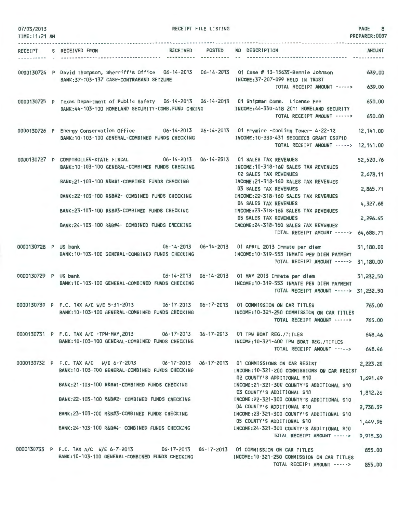| 07/03/2013<br>TIME: 11:21 AM |                                                                                                                                                           | RECEIPT FILE LISTING |                                                                                                     | PAGE<br>8<br>PREPARER: 0007 |
|------------------------------|-----------------------------------------------------------------------------------------------------------------------------------------------------------|----------------------|-----------------------------------------------------------------------------------------------------|-----------------------------|
|                              |                                                                                                                                                           |                      |                                                                                                     |                             |
| <b>RECEIPT</b>               | RECEIVED POSTED<br>S RECEIVED FROM                                                                                                                        | -----------          | NO DESCRIPTION                                                                                      | AMOUNT                      |
|                              | 0000130724 P David Thompson, Sherriff's Office 06-14-2013 06-14-2013 01 Case # 13-15635-Bennie Johnson<br>BANK: 37-103-137 CASH-CONTRABAND SEIZURE        |                      | INCOME: 37-207-099 HELD IN TRUST<br>TOTAL RECEIPT AMOUNT ----->                                     | 639.00<br>639.00            |
|                              |                                                                                                                                                           |                      |                                                                                                     |                             |
|                              | 0000130725 P Texas Department of Public Safety 06-14-2013 06-14-2013 01 Shipman Comm. License Fee<br>BANK: 44-103-100 HOMELAND SECURITY-COMB. FUND CHKING |                      | INCOME: 44-330-418 2011 HOMELAND SECURITY<br>TOTAL RECEIPT AMOUNT ----->                            | 650.00<br>650.00            |
|                              |                                                                                                                                                           |                      |                                                                                                     |                             |
|                              | 0000130726 P Energy Conservation Office 06-14-2013 06-14-2013 01 Frymire -Cooling Tower- 4-22-12<br>BANK: 10-103-100 GENERAL-COMBINED FUNDS CHECKING      |                      | INCOME:10-330-431 SECOEECB GRANT CS0710                                                             | 12, 141.00                  |
|                              |                                                                                                                                                           |                      | TOTAL RECEIPT AMOUNT ----->                                                                         | 12, 141.00                  |
|                              | 0000130727 P COMPTROLLER-STATE FISCAL 06-14-2013 06-14-2013 01 SALES TAX REVENUES<br>BANK: 10-103-100 GENERAL-COMBINED FUNDS CHECKING                     |                      | INCOME: 10-318-160 SALES TAX REVENUES                                                               | 52,520.76                   |
|                              | BANK:21-103-100 R&B#1-COMBINED FUNDS CHECKING                                                                                                             |                      | 02 SALES TAX REVENUES<br>INCOME: 21-318-160 SALES TAX REVENUES                                      | 2,678.11                    |
|                              | BANK:22-103-100 R&B#2- COMBINED FUNDS CHECKING                                                                                                            |                      | 03 SALES TAX REVENUES<br>INCOME: 22-318-160 SALES TAX REVENUES                                      | 2,865.71                    |
|                              |                                                                                                                                                           |                      | 04 SALES TAX REVENUES                                                                               | 4,327.68                    |
|                              | BANK:23-103-100 R&B#3-COMBINED FUNDS CHECKING                                                                                                             |                      | INCOME: 23-318-160 SALES TAX REVENUES<br><b>05 SALES TAX REVENUES</b>                               | 2,296.45                    |
|                              | BANK:24-103-100 R&B#4- COMBINED FUNDS CHECKING                                                                                                            |                      | INCOME: 24-318-160 SALES TAX REVENUES<br>TOTAL RECEIPT AMOUNT -----> 64,688.71                      |                             |
| 0000130728 P US bank         | BANK: 10-103-100 GENERAL-COMBINED FUNDS CHECKING                                                                                                          |                      | 06-14-2013  06-14-2013  01 APRIL 2013  Inmate per diem<br>INCOME:10-319-553 INMATE PER DIEM PAYMENT | 31,180.00                   |
|                              |                                                                                                                                                           |                      | TOTAL RECEIPT AMOUNT ----->                                                                         | 31,180.00                   |
| 0000130729 P US bank         |                                                                                                                                                           |                      | 06-14-2013  06-14-2013  01 MAY 2013  Inmate per diem                                                | 31,232.50                   |
|                              | BANK: 10-103-100 GENERAL-COMBINED FUNDS CHECKING                                                                                                          |                      | INCOME:10-319-553 INMATE PER DIEM PAYMENT<br>TOTAL RECEIPT AMOUNT -----> 31,232.50                  |                             |
|                              | 0000130730 P F.C. TAX A/C W/E 5-31-2013 06-17-2013 06-17-2013 01 COMMISSION ON CAR TITLES                                                                 |                      |                                                                                                     | 765.00                      |
|                              | BANK: 10-103-100 GENERAL-COMBINED FUNDS CHECKING                                                                                                          |                      | INCOME: 10-321-250 COMMISSION ON CAR TITLES<br>TOTAL RECEIPT AMOUNT ----->                          | 765.00                      |
|                              |                                                                                                                                                           |                      |                                                                                                     |                             |
|                              | 0000130731 P F.C. TAX A/C -TPW-MAY, 2013 06-17-2013 06-17-2013 01 TPW BOAT REG./TITLES<br>BANK: 10-103-100 GENERAL-COMBINED FUNDS CHECKING                |                      | INCOME:10-321-400 TPW BOAT REG./TITLES                                                              | 648.46                      |
|                              |                                                                                                                                                           |                      | TOTAL RECEIPT AMOUNT ----->                                                                         | 648.46                      |
|                              | 0000130732 P F.C. TAX A/C W/E 6-7-2013 06-17-2013 06-17-2013 01 COMMISSIONS ON CAR REGIST<br>BANK: 10-103-100 GENERAL-COMBINED FUNDS CHECKING             |                      | INCOME: 10-321-200 COMMISSIONS ON CAR REGIST                                                        | 2,223.20                    |
|                              | BANK:21-103-100 R&B#1-COMBINED FUNDS CHECKING                                                                                                             |                      | 02 COUNTY'S ADDITIONAL \$10<br>INCOME:21-321-300 COUNTY'S ADDITIONAL \$10                           | 1,691.49                    |
|                              |                                                                                                                                                           |                      | 03 COUNTY'S ADDITIONAL \$10                                                                         | 1,812.26                    |
|                              | BANK:22-103-100 R&B#2- COMBINED FUNDS CHECKING                                                                                                            |                      | INCOME:22-321-300 COUNTY'S ADDITIONAL \$10<br>04 COUNTY'S ADDITIONAL \$10                           | 2,738.39                    |
|                              | BANK:23-103-100 R&B#3-COMBINED FUNDS CHECKING                                                                                                             |                      | INCOME:23-321-300 COUNTY'S ADDITIONAL \$10                                                          |                             |
|                              | BANK:24-103-100 R&B#4- COMBINED FUNDS CHECKING                                                                                                            |                      | 05 COUNTY'S ADDITIONAL \$10<br>INCOME:24-321-300 COUNTY'S ADDITIONAL \$10                           | 1,449.96                    |
|                              |                                                                                                                                                           |                      | TOTAL RECEIPT AMOUNT ----->                                                                         | 9,915.30                    |
|                              | 0000130733 P F.C. TAX A/C W/E 6-7-2013 06-17-2013 06-17-2013 01 COMMISSION ON CAR TITLES                                                                  |                      |                                                                                                     | 855.00                      |
|                              | BANK: 10-103-100 GENERAL-COMBINED FUNDS CHECKING                                                                                                          |                      | INCOME:10-321-250 COMMISSION ON CAR TITLES<br>TOTAL RECEIPT AMOUNT ----->                           | 855.00                      |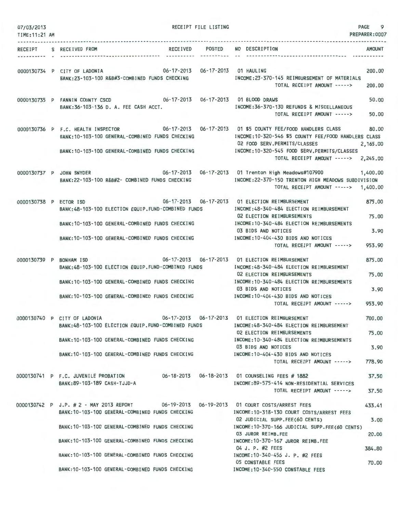| 07/03/2013<br>TIME: 11:21 AM | RECEIPT FILE LISTING                                                                                                                    | 9<br>PAGE<br>PREPARER: 0007                                                                       |
|------------------------------|-----------------------------------------------------------------------------------------------------------------------------------------|---------------------------------------------------------------------------------------------------|
|                              |                                                                                                                                         |                                                                                                   |
|                              | RECEIVED POSTED NO DESCRIPTION<br>RECEIPT S RECEIVED FROM<br>                                                                           | <b>AMOUNT</b>                                                                                     |
|                              | 0000130734 P CITY OF LADONIA 06-17-2013 06-17-2013 01 HAULING                                                                           | 200,00                                                                                            |
|                              | BANK:23-103-100 R&B#3-COMBINED FUNDS CHECKING                                                                                           | INCOME: 23-370-145 REIMBURSEMENT OF MATERIALS<br>TOTAL RECEIPT AMOUNT -----><br>200,00            |
|                              | 0000130735 P FANNIN COUNTY CSCD 06-17-2013 06-17-2013 01 BLOOD DRAWS<br>BANK:36-103-136 D. A. FEE CASH ACCT.                            | 50.00<br>INCOME: 36-370-130 REFUNDS & MISCELLANEOUS<br>TOTAL RECEIPT AMOUNT -----><br>50.00       |
|                              | 0000130736 P F.C. HEALTH INSPECTOR 06-17-2013 06-17-2013 01 \$5 COUNTY FEE/FOOD HANDLERS CLASS                                          | 80.00                                                                                             |
|                              | BANK: 10-103-100 GENERAL-COMBINED FUNDS CHECKING                                                                                        | INCOME: 10-320-546 \$5 COUNTY FEE/FOOD HANDLERS CLASS<br>02 FOOD SERV.PERMITS/CLASSES<br>2,165,00 |
|                              | BANK: 10-103-100 GENERAL-COMBINED FUNDS CHECKING                                                                                        | INCOME: 10-320-545 FOOD SERV. PERMITS/CLASSES<br>TOTAL RECEIPT AMOUNT -----><br>2,245.00          |
| 0000130737 P JOHN SNYDER     |                                                                                                                                         | 06-17-2013  06-17-2013  01 Trenton High Meadows#107900  1,400.00                                  |
|                              | BANK:22-103-100 R&B#2- COMBINED FUNDS CHECKING                                                                                          | INCOME:22-370-150 TRENTON HIGH MEADOWS SUBDIVISION<br>TOTAL RECEIPT AMOUNT -----> 1,400.00        |
| 0000130738 P ECTOR ISD       | 06-17-2013 06-17-2013 01 ELECTION REIMBURSEMENT                                                                                         | 875.00                                                                                            |
|                              | BANK: 48-103-100 ELECTION EQUIP. FUND-COMBINED FUNDS                                                                                    | INCOME: 48-340-484 ELECTION REIMBURSEMENT<br>02 ELECTION REIMBURSEMENTS<br>75.00                  |
|                              | BANK: 10-103-100 GENERAL-COMBINED FUNDS CHECKING                                                                                        | INCOME: 10-340-484 ELECTION REIMBURSEMENTS<br>3.90<br>03 BIDS AND NOTICES                         |
|                              | BANK:10-103-100 GENERAL-COMBINED FUNDS CHECKING                                                                                         | INCOME: 10-404-430 BIDS AND NOTICES<br>953.90<br>TOTAL RECEIPT AMOUNT ----->                      |
| 0000130739 P BONHAM ISD      |                                                                                                                                         | 875.00                                                                                            |
|                              | BANK:48-103-100 ELECTION EQUIP.FUND-COMBINED FUNDS                                                                                      | INCOME: 48-340-484 ELECTION REIMBURSEMENT<br>75.00<br>02 ELECTION REIMBURSEMENTS                  |
|                              | BANK:10-103-100 GENERAL-COMBINED FUNDS CHECKING                                                                                         | INCOME:10-340-484 ELECTION REIMBURSEMENTS<br>3.90<br>03 BIDS AND NOTICES                          |
|                              | BANK: 10-103-100 GENERAL-COMBINED FUNDS CHECKING                                                                                        | INCOME: 10-404-430 BIDS AND NOTICES                                                               |
|                              |                                                                                                                                         | 953.90<br>TOTAL RECEIPT AMOUNT ----->                                                             |
|                              | 06-17-2013  06-17-2013  01 ELECTION REIMBURSEMENT<br>0000130740 P CITY OF LADONIA<br>BANK:48-103-100 ELECTION EQUIP.FUND-COMBINED FUNDS | 700.00<br>INCOME:48-340-484 ELECTION REIMBURSEMENT                                                |
|                              | BANK:10-103-100 GENERAL-COMBINED FUNDS CHECKING                                                                                         | 02 ELECTION REIMBURSEMENTS<br>75,00<br>INCOME: 10-340-484 ELECTION REIMBURSEMENTS                 |
|                              | BANK: 10-103-100 GENERAL-COMBINED FUNDS CHECKING                                                                                        | 03 BIDS AND NOTICES<br>3.90<br>INCOME:10-404-430 BIDS AND NOTICES                                 |
|                              |                                                                                                                                         | 778.90<br>TOTAL RECEIPT AMOUNT ----->                                                             |
|                              | 0000130741 P F.C. JUVENILE PROBATION 06-18-2013 06-18-2013 01 COUNSELING FEES # 1882                                                    | 37.50                                                                                             |
|                              | BANK: 89-103-189 CASH-TJJD-A                                                                                                            | INCOME:89-575-414 NON-RESIDENTIAL SERVICES<br>37.50<br>TOTAL RECEIPT AMOUNT ----->                |
|                              | 0000130742 P J.P. # 2 - MAY 2013 REPORT                                                                                                 | 06-19-2013  06-19-2013  01 COURT COSTS/ARREST FEES<br>433.41                                      |
|                              | BANK: 10-103-100 GENERAL-COMBINED FUNDS CHECKING                                                                                        | INCOME: 10-318-130 COURT COSTS/ARREST FEES<br>02 JUDICIAL SUPP.FEE(60 CENTS)<br>3.00              |
|                              | BANK: 10-103-100 GENERAL-COMBINED FUNDS CHECKING                                                                                        | INCOME:10-370-166 JUDICIAL SUPP.FEE(60 CENTS)<br>03 JUROR REIMB.FEE<br>20.00                      |
|                              | BANK: 10-103-100 GENERAL-COMBINED FUNDS CHECKING                                                                                        | INCOME: 10-370-167 JUROR REIMB.FEE<br>04 J. P. #2 FEES<br>384.80                                  |
|                              | BANK: 10-103-100 GENERAL-COMBINED FUNDS CHECKING                                                                                        | INCOME: 10-340-456 J. P. #2 FEES<br>05 CONSTABLE FEES<br>70.00                                    |
|                              | BANK: 10-103-100 GENERAL-COMBINED FUNDS CHECKING                                                                                        | INCOME: 10-340-550 CONSTABLE FEES                                                                 |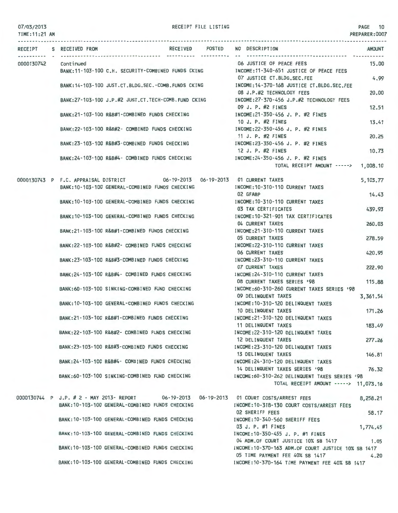#### TIME:11:21 AM

RECEIPT FILE LISTING PAGE 10

|                      | RECEIPT S RECEIVED FROM |                                                                             | RECEIVED POSTED | NO DESCRIPTION                                                                            | <b>AMOUNT</b> |
|----------------------|-------------------------|-----------------------------------------------------------------------------|-----------------|-------------------------------------------------------------------------------------------|---------------|
| 0000130742 Continued |                         |                                                                             |                 | 06 JUSTICE OF PEACE FEES                                                                  | 15.00         |
|                      |                         | BANK:11-103-100 C.H. SECURITY-COMBINED FUNDS CKING                          |                 | INCOME:11-340-651 JUSTICE OF PEACE FEES<br>07 JUSTICE CT.BLDG.SEC.FEE                     | 4.99          |
|                      |                         | BANK: 14-103-100 JUST.CT.BLDG.SEC.-COMB.FUNDS CKING                         |                 | INCOME:14-370-168 JUSTICE CT.BLDG.SEC.FEE                                                 |               |
|                      |                         | BANK:27-103-100 J.P.#2 JUST.CT.TECH-COMB.FUND CKING                         |                 | 08 J.P.#2 TECHNOLOGY FEES<br>INCOME:27-370-456 J.P.#2 TECHNOLOGY FEES                     | 20,00         |
|                      |                         |                                                                             |                 | 09 J. P. #2 FINES                                                                         | 12.51         |
|                      |                         | BANK:21-103-100 R&B#1-COMBINED FUNDS CHECKING                               |                 | INCOME: 21-350-456 J. P. #2 FINES<br>10 J. P. #2 FINES                                    |               |
|                      |                         | BANK:22-103-100 R&B#2- COMBINED FUNDS CHECKING                              |                 | INCOME:22-350-456 J. P. #2 FINES                                                          | 13.41         |
|                      |                         |                                                                             |                 | 11 J. P. #2 FINES                                                                         | 20.25         |
|                      |                         | BANK:23-103-100 R&B#3-COMBINED FUNDS CHECKING                               |                 | INCOME: 23-350-456 J. P. #2 FINES<br>12 J. P. #2 FINES                                    | 10.73         |
|                      |                         | BANK: 24-103-100 R&B#4- COMBINED FUNDS CHECKING                             |                 | INCOME: 24-350-456 J. P. #2 FINES                                                         |               |
|                      |                         |                                                                             |                 | TOTAL RECEIPT AMOUNT ----->                                                               | 1,008.10      |
|                      |                         | 0000130743 P F.C. APPRAISAL DISTRICT 06-19-2013 06-19-2013 01 CURRENT TAXES |                 |                                                                                           | 5,103.77      |
|                      |                         | BANK:10-103-100 GENERAL-COMBINED FUNDS CHECKING                             |                 | INCOME:10-310-110 CURRENT TAXES<br>02 GFABP                                               | 14.43         |
|                      |                         | BANK: 10-103-100 GENERAL-COMBINED FUNDS CHECKING                            |                 | INCOME: 10-310-110 CURRENT TAXES                                                          |               |
|                      |                         |                                                                             |                 | 03 TAX CERTIFICATES                                                                       | 439.93        |
|                      |                         | BANK: 10-103-100 GENERAL-COMBINED FUNDS CHECKING                            |                 | INCOME:10-321-901 TAX CERTIFICATES<br>04 CURRENT TAXES                                    | 260.03        |
|                      |                         | BANK:21-103-100 R&B#1-COMBINED FUNDS CHECKING                               |                 | INCOME:21-310-110 CURRENT TAXES                                                           |               |
|                      |                         | BANK:22-103-100 R&B#2- COMBINED FUNDS CHECKING                              |                 | <b>05 CURRENT TAXES</b><br>INCOME: 22-310-110 CURRENT TAXES                               | 278.59        |
|                      |                         |                                                                             |                 | <b>06 CURRENT TAXES</b>                                                                   | 420.95        |
|                      |                         | BANK:23-103-100 R&B#3-COMBINED FUNDS CHECKING                               |                 | INCOME: 23-310-110 CURRENT TAXES<br><b>07 CURRENT TAXES</b>                               |               |
|                      |                         | BANK:24-103-100 R&B#4- COMBINED FUNDS CHECKING                              |                 | INCOME:24-310-110 CURRENT TAXES                                                           | 222.90        |
|                      |                         |                                                                             |                 | 08 CURRENT TAXES SERIES '98                                                               | 115.88        |
|                      |                         | BANK:60-103-100 SINKING-COMBINED FUND CHECKING                              |                 | INCOME:60-310-260 CURRENT TAXES SERIES '98<br>09 DELINQUENT TAXES                         | 3,361.54      |
|                      |                         | BANK: 10-103-100 GENERAL-COMBINED FUNDS CHECKING                            |                 | INCOME: 10-310-120 DELINQUENT TAXES                                                       |               |
|                      |                         | BANK:21-103-100 R&B#1-COMBINED FUNDS CHECKING                               |                 | 10 DELINQUENT TAXES<br>INCOME:21-310-120 DELINQUENT TAXES                                 | 171.26        |
|                      |                         |                                                                             |                 | 11 DELINQUENT TAXES                                                                       | 183.49        |
|                      |                         | BANK:22-103-100 R&B#2- COMBINED FUNDS CHECKING                              |                 | INCOME:22-310-120 DELINQUENT TAXES                                                        |               |
|                      |                         | BANK:23-103-100 R&B#3-COMBINED FUNDS CHECKING                               |                 | 12 DELINQUENT TAXES<br>INCOME: 23-310-120 DELINQUENT TAXES                                | 277.26        |
|                      |                         |                                                                             |                 | 13 DELINQUENT TAXES                                                                       | 146.81        |
|                      |                         | BANK:24-103-100 R&B#4- COMBINED FUNDS CHECKING                              |                 | INCOME:24-310-120 DELINQUENT TAXES<br>14 DELINQUENT TAXES SERIES '98                      | 76.32         |
|                      |                         | BANK:60-103-100 SINKING-COMBINED FUND CHECKING                              |                 | INCOME:60-310-262 DELINQUENT TAXES SERIES '98                                             |               |
|                      |                         |                                                                             |                 | TOTAL RECEIPT AMOUNT -----> 11,073.16                                                     |               |
|                      |                         |                                                                             |                 | 0000130744 P J.P. # 2 - MAY 2013- REPORT 06-19-2013 06-19-2013 01 COURT COSTS/ARREST FEES | 8,258.21      |
|                      |                         | BANK: 10-103-100 GENERAL-COMBINED FUNDS CHECKING                            |                 | INCOME:10-318-130 COURT COSTS/ARREST FEES                                                 |               |
|                      |                         | BANK:10-103-100 GENERAL-COMBINED FUNDS CHECKING                             |                 | 02 SHERIFF FEES<br>INCOME:10-340-560 SHERIFF FEES                                         | 58.17         |
|                      |                         |                                                                             |                 | 03 J. P. #1 FINES                                                                         | 1,774.45      |
|                      |                         | BANK: 10-103-100 GENERAL-COMBINED FUNDS CHECKING                            |                 | INCOME:10-350-455 J. P. #1 FINES<br>04 ADM.OF COURT JUSTICE 10% SB 1417                   | 1.05          |
|                      |                         | BANK:10-103-100 GENERAL-COMBINED FUNDS CHECKING                             |                 | INCOME:10-370-163 ADM.OF COURT JUSTICE 10% SB 1417                                        |               |
|                      |                         | BANK:10-103-100 GENERAL-COMBINED FUNDS CHECKING                             |                 | 05 TIME PAYMENT FEE 40% SB 1417<br>INCOME: 10-370-164 TIME PAYMENT FEE 40% SB 1417        | 4.20          |
|                      |                         |                                                                             |                 |                                                                                           |               |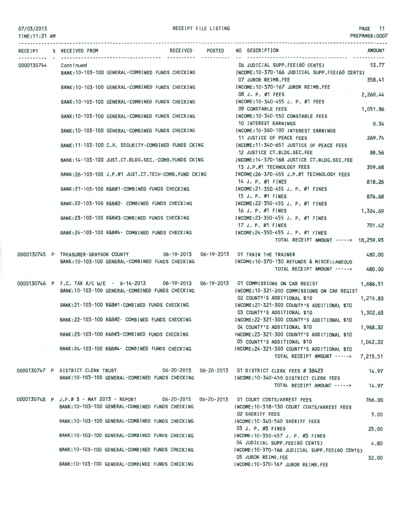TIME:11:21 AM

|                      | RECEIVED POSTED<br>RECEIPT S RECEIVED FROM<br>----------- ---------- --                      | NO DESCRIPTION<br><b>AMOUNT</b><br>-----------------------------                    |
|----------------------|----------------------------------------------------------------------------------------------|-------------------------------------------------------------------------------------|
| 0000130744 Continued |                                                                                              | 06 JUDICIAL SUPP.FEE(60 CENTS)<br>53.77                                             |
|                      | BANK: 10-103-100 GENERAL-COMBINED FUNDS CHECKING                                             | INCOME:10-370-166 JUDICIAL SUPP.FEE(60 CENTS)                                       |
|                      |                                                                                              | 07 JUROR REIMB.FEE<br>358.41                                                        |
|                      | BANK: 10-103-100 GENERAL-COMBINED FUNDS CHECKING                                             | INCOME:10-370-167 JUROR REIMB.FEE                                                   |
|                      |                                                                                              | 08 J. P. #1 FEES<br>2,260.44                                                        |
|                      | BANK: 10-103-100 GENERAL-COMBINED FUNDS CHECKING                                             | INCOME:10-340-455 J. P. #1 FEES                                                     |
|                      |                                                                                              | 09 CONSTABLE FEES<br>1,051.86                                                       |
|                      | BANK: 10-103-100 GENERAL-COMBINED FUNDS CHECKING                                             | INCOME:10-340-550 CONSTABLE FEES                                                    |
|                      |                                                                                              | 0.34<br>10 INTEREST EARNINGS                                                        |
|                      | BANK:10-103-100 GENERAL-COMBINED FUNDS CHECKING                                              | INCOME: 10-360-100 INTEREST EARNINGS                                                |
|                      |                                                                                              | 11 JUSTICE OF PEACE FEES<br>269.74<br>INCOME:11-340-651 JUSTICE OF PEACE FEES       |
|                      | BANK:11-103-100 C.H. SECURITY-COMBINED FUNDS CKING                                           | 12 JUSTICE CT.BLDG.SEC.FEE<br>88.56                                                 |
|                      | BANK: 14-103-100 JUST.CT.BLDG.SEC.-COMB.FUNDS CKING                                          | INCOME: 14-370-168 JUSTICE CT.BLDG.SEC.FEE                                          |
|                      |                                                                                              | 13 J.P.#1 TECHNOLOGY FEES<br>359.68                                                 |
|                      | BANK: 26-103-100 J.P.#1 JUST.CT. TECH-COMB. FUND CKING                                       | INCOME: 26-370-455 J.P.#1 TECHNOLOGY FEES                                           |
|                      |                                                                                              | 14 J. P. #1 FINES<br>818.26                                                         |
|                      | BANK:21-103-100 R&B#1-COMBINED FUNDS CHECKING                                                | INCOME:21-350-455 J. P. #1 FINES                                                    |
|                      |                                                                                              | 15 J. P. #1 FINES<br>876.68                                                         |
|                      | BANK:22-103-100 R&B#2- COMBINED FUNDS CHECKING                                               | INCOME:22-350-455 J. P. #1 FINES                                                    |
|                      |                                                                                              | 16 J. P. #1 FINES<br>1,324.69                                                       |
|                      | BANK:23-103-100 R&B#3-COMBINED FUNDS CHECKING                                                | INCOME:23-350-455 J. P. #1 FINES                                                    |
|                      |                                                                                              | 17 J. P. #1 FINES<br>701.42                                                         |
|                      | BANK:24-103-100 R&B#4- COMBINED FUNDS CHECKING                                               | INCOME:24-350-455 J. P. #1 FINES                                                    |
|                      |                                                                                              | TOTAL RECEIPT AMOUNT -----> 18,259.93                                               |
|                      |                                                                                              |                                                                                     |
|                      | 0000130745 P TREASURER-GRAYSON COUNTY 06-19-2013 06-19-2013 01 TRAIN THE TRAINER             | 480.00                                                                              |
|                      | BANK: 10-103-100 GENERAL-COMBINED FUNDS CHECKING                                             | INCOME: 10-370-130 REFUNDS & MISCELLANEOUS<br>TOTAL RECEIPT AMOUNT -----><br>480.00 |
|                      |                                                                                              |                                                                                     |
|                      | 0000130746 P F.C. TAX A/C W/E - 6-14-2013 06-19-2013 06-19-2013 01 COMMISSIONS ON CAR REGIST | 1,686.51                                                                            |
|                      | BANK: 10-103-100 GENERAL-COMBINED FUNDS CHECKING                                             | INCOME:10-321-200 COMMISSIONS ON CAR REGIST                                         |
|                      |                                                                                              | 02 COUNTY'S ADDITIONAL \$10<br>1,215.83                                             |
|                      | BANK:21-103-100 R&B#1-COMBINED FUNDS CHECKING                                                | INCOME: 21-321-300 COUNTY'S ADDITIONAL \$10                                         |
|                      |                                                                                              | 03 COUNTY'S ADDITIONAL \$10<br>1,302.63                                             |
|                      | BANK:22-103-100 R&B#2- COMBINED FUNDS CHECKING                                               | INCOME: 22-321-300 COUNTY'S ADDITIONAL \$10                                         |
|                      |                                                                                              | 04 COUNTY'S ADDITIONAL \$10<br>1,968.32                                             |
|                      | BANK:23-103-100 R&B#3-COMBINED FUNDS CHECKING                                                | INCOME:23-321-300 COUNTY'S ADDITIONAL \$10                                          |
|                      |                                                                                              | 05 COUNTY'S ADDITIONAL \$10<br>1,042.22                                             |
|                      | BANK:24-103-100 R&B#4- COMBINED FUNDS CHECKING                                               | INCOME:24-321-300 COUNTY'S ADDITIONAL \$10                                          |
|                      |                                                                                              | TOTAL RECEIPT AMOUNT -----> 7,215.51                                                |
|                      | 0000130747 P DISTRICT CLERK TRUST 06-20-2013 06-20-2013 01 DISTRICT CLERK FEES # 38423       |                                                                                     |
|                      | BANK: 10-103-100 GENERAL-COMBINED FUNDS CHECKING                                             | 14.97<br>INCOME:10-340-450 DISTRICT CLERK FEES                                      |
|                      |                                                                                              | TOTAL RECEIPT AMOUNT -----><br>14.97                                                |
|                      |                                                                                              |                                                                                     |
|                      | 0000130748 P J.P.# 3 - MAY 2013 - REPORT 06-20-2013 06-20-2013 01 COURT COSTS/ARREST FEES    | 766.00                                                                              |
|                      | BANK: 10-103-100 GENERAL-COMBINED FUNDS CHECKING                                             | INCOME: 10-318-130 COURT COSTS/ARREST FEES                                          |
|                      |                                                                                              | <b>02 SHERIFF FEES</b><br>5.00                                                      |
|                      | BANK: 10-103-100 GENERAL-COMBINED FUNDS CHECKING                                             | INCOME: 10-340-560 SHERIFF FEES                                                     |
|                      |                                                                                              | 03 J. P. #3 FINES<br>25,00                                                          |
|                      | BANK: 10-103-100 GENERAL-COMBINED FUNDS CHECKING                                             | INCOME: 10-350-457 J. P. #3 FINES                                                   |
|                      |                                                                                              | 04 JUDICIAL SUPP.FEE(60 CENTS)<br>4.80                                              |
|                      | BANK: 10-103-100 GENERAL-COMBINED FUNDS CHECKING                                             | INCOME:10-370-166 JUDICIAL SUPP.FEE(60 CENTS)                                       |
|                      | BANK: 10-103-100 GENERAL-COMBINED FUNDS CHECKING                                             | 05 JUROR REIMB.FEE<br>32.00<br>INCOME:10-370-167 JUROR REIMB.FEE                    |
|                      |                                                                                              |                                                                                     |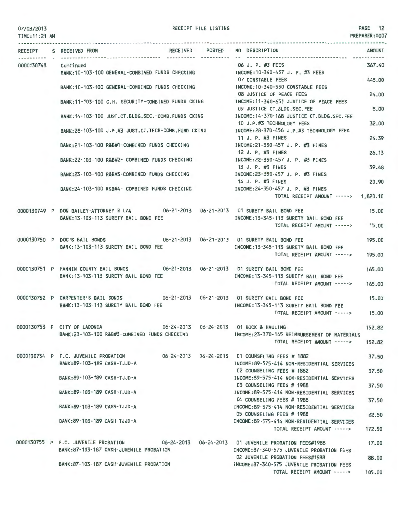| 07/03/2013<br>TIME: 11:21 AM |  |                                                                                                                             |  | RECEIPT FILE LISTING                    |                                                                                                                                         | PAGE 12<br>PREPARER: 0007 |
|------------------------------|--|-----------------------------------------------------------------------------------------------------------------------------|--|-----------------------------------------|-----------------------------------------------------------------------------------------------------------------------------------------|---------------------------|
|                              |  | RECEIPT S RECEIVED FROM                                                                                                     |  | RECEIVED POSTED                         | NO DESCRIPTION                                                                                                                          | <b>AMOUNT</b>             |
| 0000130748                   |  | Continued<br>BANK:10-103-100 GENERAL-COMBINED FUNDS CHECKING                                                                |  |                                         | 06 J. P. #3 FEES<br>INCOME:10-340-457 J. P. #3 FEES                                                                                     | 367.40                    |
|                              |  | BANK:10-103-100 GENERAL-COMBINED FUNDS CHECKING                                                                             |  |                                         | 07 CONSTABLE FEES<br>INCOME:10-340-550 CONSTABLE FEES                                                                                   | 445.00                    |
|                              |  | BANK: 11-103-100 C.H. SECURITY-COMBINED FUNDS CKING                                                                         |  |                                         | 08 JUSTICE OF PEACE FEES<br>INCOME:11-340-651 JUSTICE OF PEACE FEES                                                                     | 24.00                     |
|                              |  | BANK:14-103-100 JUST.CT.BLDG.SEC.-COMB.FUNDS CKING                                                                          |  |                                         | 09 JUSTICE CT.BLDG.SEC.FEE<br>INCOME:14-370-168 JUSTICE CT.BLDG.SEC.FEE                                                                 | 8.00                      |
|                              |  | BANK:28-103-100 J.P.#3 JUST.CT.TECH-COMB.FUND CKING                                                                         |  |                                         | 10 J.P.#3 TECHNOLOGY FEES<br>INCOME:28-370-456 J.P.#3 TECHNOLOGY FEES                                                                   | 32.00                     |
|                              |  | BANK:21-103-100 R&B#1-COMBINED FUNDS CHECKING                                                                               |  |                                         | 11 J. P. #3 FINES<br>INCOME:21-350-457 J. P. #3 FINES                                                                                   | 24.39                     |
|                              |  | BANK: 22-103-100 R&B#2- COMBINED FUNDS CHECKING                                                                             |  |                                         | 12 J. P. #3 FINES<br>INCOME: 22-350-457 J. P. #3 FINES                                                                                  | 26.13                     |
|                              |  | BANK:23-103-100 R&B#3-COMBINED FUNDS CHECKING                                                                               |  |                                         | 13 J. P. #3 FINES<br>INCOME: 23-350-457 J. P. #3 FINES                                                                                  | 39.48                     |
|                              |  | BANK: 24-103-100 R&B#4- COMBINED FUNDS CHECKING                                                                             |  |                                         | 14 J. P. #3 FINES<br>INCOME:24-350-457 J. P. #3 FINES                                                                                   | 20,90                     |
|                              |  | 0000130749 P DON BAILEY-ATTORNEY @ LAW 06-21-2013 06-21-2013 01 SURETY BAIL BOND FEE                                        |  |                                         | TOTAL RECEIPT AMOUNT -----> 1,820.10                                                                                                    | 15,00                     |
|                              |  | BANK: 13-103-113 SURETY BAIL BOND FEE                                                                                       |  |                                         | INCOME: 13-345-113 SURETY BAIL BOND FEE<br>TOTAL RECEIPT AMOUNT ----->                                                                  | 15,00                     |
|                              |  | 0000130750 P DOC'S BAIL BONDS                                                                                               |  |                                         | 195.00                                                                                                                                  |                           |
|                              |  | BANK: 13-103-113 SURETY BAIL BOND FEE                                                                                       |  |                                         | INCOME: 13-345-113 SURETY BAIL BOND FEE<br>TOTAL RECEIPT AMOUNT ----->                                                                  | 195.00                    |
|                              |  | 0000130751 P FANNIN COUNTY BAIL BONDS 06-21-2013 06-21-2013 01 SURETY BAIL BOND FEE<br>BANK:13-103-113 SURETY BAIL BOND FEE |  | INCOME: 13-345-113 SURETY BAIL BOND FEE | 165.00                                                                                                                                  |                           |
|                              |  |                                                                                                                             |  |                                         | TOTAL RECEIPT AMOUNT ----->                                                                                                             | 165.00                    |
|                              |  | 0000130752 P CARPENTER'S BAIL BONDS 06-21-2013 06-21-2013 01 SURETY BAIL BOND FEE<br>BANK: 13-103-113 SURETY BAIL BOND FEE  |  |                                         | INCOME: 13-345-113 SURETY BAIL BOND FEE                                                                                                 | 15,00                     |
|                              |  |                                                                                                                             |  |                                         | TOTAL RECEIPT AMOUNT ----->                                                                                                             | 15.00                     |
|                              |  | 0000130753 P CITY OF LADONIA<br>BANK:23-103-100 R&B#3-COMBINED FUNDS CHECKING                                               |  |                                         | INCOME: 23-370-145 REIMBURSEMENT OF MATERIALS                                                                                           | 152.82                    |
|                              |  |                                                                                                                             |  |                                         | TOTAL RECEIPT AMOUNT ----->                                                                                                             | 152.82                    |
|                              |  | 0000130754 P F.C. JUVENILE PROBATION<br>BANK: 89-103-189 CASH-TJJD-A                                                        |  |                                         | 06-24-2013  06-24-2013  01 COUNSELING FEES # 1882<br>INCOME:89-575-414 NON-RESIDENTIAL SERVICES                                         | 37.50                     |
|                              |  | BANK: 89-103-189 CASH-TJJD-A                                                                                                |  |                                         | 02 COUNSELING FEES # 1882<br>INCOME:89-575-414 NON-RESIDENTIAL SERVICES                                                                 | 37.50                     |
|                              |  | BANK: 89-103-189 CASH-TJJD-A                                                                                                |  |                                         | 03 COUNSELING FEES # 1988<br>INCOME:89-575-414 NON-RESIDENTIAL SERVICES                                                                 | 37.50                     |
|                              |  | BANK: 89-103-189 CASH-TJJD-A                                                                                                |  |                                         | 04 COUNSELING FEES # 1988<br>INCOME:89-575-414 NON-RESIDENTIAL SERVICES                                                                 | 37.50                     |
|                              |  | BANK: 89-103-189 CASH-TJJD-A                                                                                                |  |                                         | 05 COUNSELING FEES # 1988<br>INCOME: 89-575-414 NON-RESIDENTIAL SERVICES                                                                | 22.50                     |
|                              |  |                                                                                                                             |  |                                         | TOTAL RECEIPT AMOUNT ----->                                                                                                             | 172.50                    |
|                              |  | BANK:87-103-187 CASH-JUVENILE PROBATION                                                                                     |  |                                         | 0000130755 P F.C. JUVENILE PROBATION 06-24-2013 06-24-2013 01 JUVENILE PROBATION FEES#1988<br>INCOME:87-340-575 JUVENILE PROBATION FEES | 17.00                     |

BANK:87-103-187 CASH-JUVENILE PROBATION

TOTAL RECEIPT AMOUNT -----> 105.00

88.00

02 JUVENILE PROBATION FEES#1988

INCOME:87-340-575 JUVENILE PROBATION FEES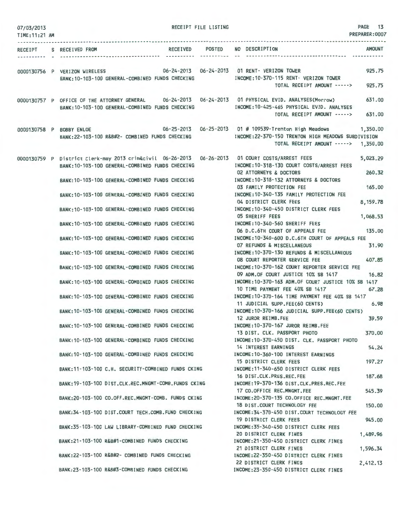| 07/03/2013     |  | PAGE 13<br>RECEIPT FILE LISTING                                                                  |                 |               |                                                                                                               |                |  |
|----------------|--|--------------------------------------------------------------------------------------------------|-----------------|---------------|---------------------------------------------------------------------------------------------------------------|----------------|--|
| TIME: 11:21 AM |  |                                                                                                  |                 |               |                                                                                                               | PREPARER: 0007 |  |
|                |  | RECEIPT S RECEIVED FROM                                                                          | RECEIVED POSTED |               | NO DESCRIPTION                                                                                                | <b>AMOUNT</b>  |  |
|                |  |                                                                                                  |                 | ---------- -- |                                                                                                               |                |  |
|                |  | 0000130756 P VERIZON WIRELESS                                                                    |                 |               | 06-24-2013  06-24-2013  01 RENT- VERIZON TOWER                                                                | 925.75         |  |
|                |  | BANK: 10-103-100 GENERAL-COMBINED FUNDS CHECKING                                                 |                 |               | INCOME:10-370-115 RENT- VERIZON TOWER                                                                         |                |  |
|                |  |                                                                                                  |                 |               | TOTAL RECEIPT AMOUNT ----->                                                                                   | 925.75         |  |
|                |  |                                                                                                  |                 |               | 0000130757 P OFFICE OF THE ATTORNEY GENERAL 06-24-2013 06-24-2013 01 PHYSICAL EVID. ANALYSES(Morrow)          | 631.00         |  |
|                |  | BANK: 10-103-100 GENERAL-COMBINED FUNDS CHECKING                                                 |                 |               | INCOME: 10-425-465 PHYSICAL EVID. ANALYSES                                                                    |                |  |
|                |  |                                                                                                  |                 |               | TOTAL RECEIPT AMOUNT ----->                                                                                   | 631.00         |  |
|                |  |                                                                                                  |                 |               | 06-25-2013 06-25-2013 01 # 109539-Trenton High Meadows 06-25-2013 06-25-2013 01 # 109539-Trenton High Meadows | 1,350,00       |  |
|                |  | BANK:22-103-100 R&B#2- COMBINED FUNDS CHECKING                                                   |                 |               | INCOME:22-370-150 TRENTON HIGH MEADOWS SUBDIVISION                                                            |                |  |
|                |  |                                                                                                  |                 |               | TOTAL RECEIPT AMOUNT -----> 1,350.00                                                                          |                |  |
|                |  | 0000130759 P District Clerk-may 2013 crim&civil 06-26-2013 06-26-2013 01 COURT COSTS/ARREST FEES |                 |               |                                                                                                               | 5,023.29       |  |
|                |  | BANK: 10-103-100 GENERAL-COMBINED FUNDS CHECKING                                                 |                 |               | INCOME: 10-318-130 COURT COSTS/ARREST FEES                                                                    |                |  |
|                |  |                                                                                                  |                 |               | <b>02 ATTORNEYS &amp; DOCTORS</b>                                                                             | 260.32         |  |
|                |  | BANK: 10-103-100 GENERAL-COMBINED FUNDS CHECKING                                                 |                 |               | INCOME: 10-318-132 ATTORNEYS & DOCTORS<br>03 FAMILY PROTECTION FEE                                            | 165,00         |  |
|                |  | BANK:10-103-100 GENERAL-COMBINED FUNDS CHECKING                                                  |                 |               | INCOME: 10-340-135 FAMILY PROTECTION FEE                                                                      |                |  |
|                |  |                                                                                                  |                 |               | 04 DISTRICT CLERK FEES                                                                                        | 8,159.78       |  |
|                |  | BANK:10-103-100 GENERAL-COMBINED FUNDS CHECKING                                                  |                 |               | INCOME:10-340-450 DISTRICT CLERK FEES                                                                         |                |  |
|                |  |                                                                                                  |                 |               | <b>05 SHERIFF FEES</b>                                                                                        | 1,068.53       |  |
|                |  | BANK: 10-103-100 GENERAL-COMBINED FUNDS CHECKING                                                 |                 |               | INCOME: 10-340-560 SHERIFF FEES                                                                               |                |  |
|                |  |                                                                                                  |                 |               | 06 D.C.6TH COURT OF APPEALS FEE 135.00<br>INCOME:10-340-600 D.C.6TH COURT OF APPEALS FEE                      |                |  |
|                |  | BANK: 10-103-100 GENERAL-COMBINED FUNDS CHECKING                                                 |                 |               | 07 REFUNDS & MISCELLANEOUS                                                                                    | 31.90          |  |
|                |  | BANK: 10-103-100 GENERAL-COMBINED FUNDS CHECKING                                                 |                 |               | INCOME: 10-370-130 REFUNDS & MISCELLANEOUS                                                                    |                |  |
|                |  |                                                                                                  |                 |               | 08 COURT REPORTER SERVICE FEE                                                                                 | 407.85         |  |
|                |  | BANK: 10-103-100 GENERAL-COMBINED FUNDS CHECKING                                                 |                 |               | INCOME: 10-370-162 COURT REPORTER SERVICE FEE                                                                 |                |  |
|                |  |                                                                                                  |                 |               | 09 ADM.OF COURT JUSTICE 10% SB 1417                                                                           | 16.82          |  |
|                |  | BANK: 10-103-100 GENERAL-COMBINED FUNDS CHECKING                                                 |                 |               | INCOME: 10-370-163 ADM. OF COURT JUSTICE 10% SB 1417<br>10 TIME PAYMENT FEE 40% SB 1417                       | 67.28          |  |
|                |  | BANK: 10-103-100 GENERAL-COMBINED FUNDS CHECKING                                                 |                 |               | INCOME: 10-370-164 TIME PAYMENT FEE 40% SB 1417                                                               |                |  |
|                |  |                                                                                                  |                 |               | 11 JUDICIAL SUPP.FEE(60 CENTS)                                                                                | 6.98           |  |
|                |  | BANK: 10-103-100 GENERAL-COMBINED FUNDS CHECKING                                                 |                 |               | INCOME: 10-370-166 JUDICIAL SUPP.FEE(60 CENTS)                                                                |                |  |
|                |  |                                                                                                  |                 |               | 12 JUROR REIMB.FEE                                                                                            | 39.59          |  |
|                |  | BANK: 10-103-100 GENERAL-COMBINED FUNDS CHECKING                                                 |                 |               | INCOME: 10-370-167 JUROR REIMB.FEE<br>13 DIST. CLK. PASSPORT PHOTO                                            | 370.00         |  |
|                |  | BANK: 10-103-100 GENERAL-COMBINED FUNDS CHECKING                                                 |                 |               | INCOME: 10-370-450 DIST. CLK. PASSPORT PHOTO                                                                  |                |  |
|                |  |                                                                                                  |                 |               | 14 INTEREST EARNINGS                                                                                          | 54.24          |  |
|                |  | BANK: 10-103-100 GENERAL-COMBINED FUNDS CHECKING                                                 |                 |               | INCOME: 10-360-100 INTEREST EARNINGS                                                                          |                |  |
|                |  |                                                                                                  |                 |               | <b>15 DISTRICT CLERK FEES</b>                                                                                 | 197.27         |  |
|                |  | BANK:11-103-100 C.H. SECURITY-COMBINED FUNDS CKING                                               |                 |               | INCOME:11-340-650 DISTRICT CLERK FEES                                                                         |                |  |
|                |  | BANK: 19-103-100 DIST.CLK.REC.MNGMT-COMB.FUNDS CKING                                             |                 |               | 16 DIST.CLK.PRES.REC.FEE<br>INCOME: 19-370-136 DIST.CLK.PRES.REC.FEE                                          | 187.68         |  |
|                |  |                                                                                                  |                 |               | 17 CO.OFFICE REC.MNGMT.FEE                                                                                    | 545.39         |  |
|                |  | BANK:20-103-100 CO.OFF.REC.MNGMT-COMB. FUNDS CKING                                               |                 |               | INCOME:20-370-135 CO.OFFICE REC.MNGMT.FEE                                                                     |                |  |
|                |  |                                                                                                  |                 |               | 18 DIST.COURT TECHNOLOGY FEE                                                                                  | 150.00         |  |
|                |  | BANK:34-103-100 DIST.COURT TECH.COMB.FUND CHECKING                                               |                 |               | INCOME: 34-370-450 DIST.COURT TECHNOLOGY FEE                                                                  |                |  |
|                |  | BANK:35-103-100 LAW LIBRARY-COMBINED FUND CHECKING                                               |                 |               | <b>19 DISTRICT CLERK FEES</b><br>INCOME: 35-340-450 DISTRICT CLERK FEES                                       | 945.00         |  |
|                |  |                                                                                                  |                 |               | 20 DISTRICT CLERK FINES                                                                                       | 1,489.96       |  |
|                |  | BANK:21-103-100 R&B#1-COMBINED FUNDS CHECKING                                                    |                 |               | INCOME:21-350-450 DISTRICT CLERK FINES                                                                        |                |  |
|                |  |                                                                                                  |                 |               | 21 DISTRICT CLERK FINES                                                                                       | 1,596.34       |  |
|                |  | BANK:22-103-100 R&B#2- COMBINED FUNDS CHECKING                                                   |                 |               | INCOME:22-350-450 DISTRICT CLERK FINES                                                                        |                |  |
|                |  | BANK:23-103-100 R&B#3-COMBINED FUNDS CHECKING                                                    |                 |               | 22 DISTRICT CLERK FINES<br>INCOME:23-350-450 DISTRICT CLERK FINES                                             | 2,412.13       |  |
|                |  |                                                                                                  |                 |               |                                                                                                               |                |  |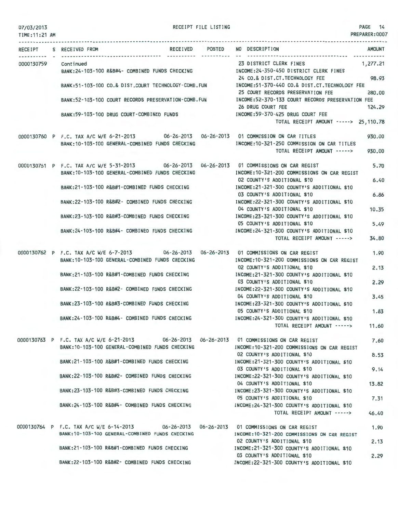| 07/03/2013 |  |
|------------|--|
|------------|--|

RECEIPT FILE LISTING

PAGE 14

| TIME: 11:21 AM |  |                                                                                                                                                |  |                                                                                                                                                                                        | PREPARER: UUUT |
|----------------|--|------------------------------------------------------------------------------------------------------------------------------------------------|--|----------------------------------------------------------------------------------------------------------------------------------------------------------------------------------------|----------------|
|                |  | RECEIPT S RECEIVED FROM                                                                                                                        |  | RECEIVED POSTED NO DESCRIPTION                                                                                                                                                         | AMOUNT         |
|                |  | 0000130759 Continued<br>BANK:24-103-100 R&B#4- COMBINED FUNDS CHECKING [INCOME:24-350-450 DISTRICT CLERK FINES                                 |  | 23 DISTRICT CLERK FINES                                                                                                                                                                | 1,277.21       |
|                |  | BANK:51-103-100 CO.& DIST.COURT TECHNOLOGY-COMB.FUN                                                                                            |  | 98.93<br>24 CO.& DIST.CT. TECHNOLOGY FEE<br>INCOME:51-370-440 CO.& DIST.CT.TECHNOLOGY FEE<br>25 COURT RECORDS PRESERVATION FEE                                                         | 280,00         |
|                |  | BANK:52-103-100 COURT RECORDS PRESERVATION-COMB. FUN                                                                                           |  | INCOME:52-370-133 COURT RECORDS PRESERVATION FEE<br>26 DRUG COURT FEE                                                                                                                  | 124.29         |
|                |  | BANK:59-103-100 DRUG COURT-COMBINED FUNDS                                                                                                      |  | INCOME: 59-370-425 DRUG COURT FEE<br>TOTAL RECEIPT AMOUNT -----> 25,110.78                                                                                                             |                |
|                |  | 0000130760 P F.C. TAX A/C W/E 6-21-2013 06-26-2013 06-26-2013 01 COMMISSION ON CAR TITLES                                                      |  |                                                                                                                                                                                        | 930.00         |
|                |  | BANK: 10-103-100 GENERAL-COMBINED FUNDS CHECKING                                                                                               |  | INCOME:10-321-250 COMMISSION ON CAR TITLES<br>TOTAL RECEIPT AMOUNT ----->                                                                                                              | 930.00         |
|                |  | 0000130761 P F.C. TAX A/C W/E 5-31-2013 06-26-2013 06-26-2013 01 COMMISSIONS ON CAR REGIST<br>BANK:10-103-100 GENERAL-COMBINED FUNDS CHECKING  |  | INCOME:10-321-200 COMMISSIONS ON CAR REGIST                                                                                                                                            | 5.70           |
|                |  | BANK:21-103-100 R&B#1-COMBINED FUNDS CHECKING                                                                                                  |  | 02 COUNTY'S ADDITIONAL \$10<br>INCOME:21-321-300 COUNTY'S ADDITIONAL \$10<br>03 COUNTY'S ADDITIONAL \$10<br>INCOME: 22-321-300 COUNTY'S ADDITIONAL \$10<br>04 COUNTY'S ADDITIONAL \$10 | 6.40<br>6.86   |
|                |  | BANK:22-103-100 R&B#2- COMBINED FUNDS CHECKING                                                                                                 |  |                                                                                                                                                                                        | 10.35          |
|                |  | BANK:23-103-100 R&B#3-COMBINED FUNDS CHECKING                                                                                                  |  | INCOME:23-321-300 COUNTY'S ADDITIONAL \$10<br>05 COUNTY'S ADDITIONAL \$10                                                                                                              | 5.49           |
|                |  | BANK: 24-103-100 R&B#4- COMBINED FUNDS CHECKING                                                                                                |  | INCOME:24-321-300 COUNTY'S ADDITIONAL \$10<br>TOTAL RECEIPT AMOUNT ----->                                                                                                              | 34.80          |
|                |  | 0000130762 P F.C. TAX A/C W/E 6-7-2013 06-26-2013 06-26-2013 01 COMMISSIONS ON CAR REGIST<br>BANK:10-103-100 GENERAL-COMBINED FUNDS CHECKING   |  | INCOME:10-321-200 COMMISSIONS ON CAR REGIST<br>02 COUNTY'S ADDITIONAL \$10<br>INCOME: 21-321-300 COUNTY'S ADDITIONAL \$10                                                              | 1.90           |
|                |  | BANK:21-103-100 R&B#1-COMBINED FUNDS CHECKING                                                                                                  |  |                                                                                                                                                                                        | 2.13           |
|                |  | BANK:22-103-100 R&B#2- COMBINED FUNDS CHECKING                                                                                                 |  | 03 COUNTY'S ADDITIONAL \$10<br>INCOME: 22-321-300 COUNTY'S ADDITIONAL \$10                                                                                                             | 2.29           |
|                |  | BANK:23-103-100 R&B#3-COMBINED FUNDS CHECKING                                                                                                  |  | 04 COUNTY'S ADDITIONAL \$10<br>INCOME:23-321-300 COUNTY'S ADDITIONAL \$10                                                                                                              | 3.45           |
|                |  | BANK: 24-103-100 R&B#4- COMBINED FUNDS CHECKING                                                                                                |  | 05 COUNTY'S ADDITIONAL \$10<br>INCOME: 24-321-300 COUNTY'S ADDITIONAL \$10                                                                                                             | 1.83           |
|                |  |                                                                                                                                                |  | TOTAL RECEIPT AMOUNT ----->                                                                                                                                                            | 11.60          |
|                |  | 0000130763 P F.C. TAX A/C W/E 6-21-2013 06-26-2013 06-26-2013 01 COMMISSIONS ON CAR REGIST<br>BANK: 10-103-100 GENERAL-COMBINED FUNDS CHECKING |  | INCOME: 10-321-200 COMMISSIONS ON CAR REGIST<br>02 COUNTY'S ADDITIONAL \$10                                                                                                            | 7.60<br>8.53   |
|                |  | BANK:21-103-100 R&B#1-COMBINED FUNDS CHECKING                                                                                                  |  | INCOME: 21-321-300 COUNTY'S ADDITIONAL \$10<br>03 COUNTY'S ADDITIONAL \$10                                                                                                             | 9.14           |
|                |  | BANK: 22-103-100 R&B#2- COMBINED FUNDS CHECKING                                                                                                |  | INCOME: 22-321-300 COUNTY'S ADDITIONAL \$10<br>04 COUNTY'S ADDITIONAL \$10                                                                                                             | 13.82          |
|                |  | BANK:23-103-100 R&B#3-COMBINED FUNDS CHECKING                                                                                                  |  | INCOME:23-321-300 COUNTY'S ADDITIONAL \$10<br>05 COUNTY'S ADDITIONAL \$10                                                                                                              | 7.31           |
|                |  | BANK: 24-103-100 R&B#4- COMBINED FUNDS CHECKING                                                                                                |  | INCOME:24-321-300 COUNTY'S ADDITIONAL \$10<br>TOTAL RECEIPT AMOUNT ----->                                                                                                              | 46.40          |
|                |  | 0000130764 P F.C. TAX A/C W/E 6-14-2013      06-26-2013  06-26-2013  01 COMMISSIONS ON CAR REGIST                                              |  |                                                                                                                                                                                        | 1.90           |
|                |  | BANK: 10-103-100 GENERAL-COMBINED FUNDS CHECKING                                                                                               |  | INCOME: 10-321-200 COMMISSIONS ON CAR REGIST<br>02 COUNTY'S ADDITIONAL \$10                                                                                                            | 2.13           |
|                |  | BANK:21-103-100 R&B#1-COMBINED FUNDS CHECKING                                                                                                  |  | INCOME:21-321-300 COUNTY'S ADDITIONAL \$10<br>03 COUNTY'S ADDITIONAL \$10                                                                                                              | 2.29           |
|                |  | BANK:22-103-100 R&B#2- COMBINED FUNDS CHECKING                                                                                                 |  | INCOME:22-321-300 COUNTY'S ADDITIONAL \$10                                                                                                                                             |                |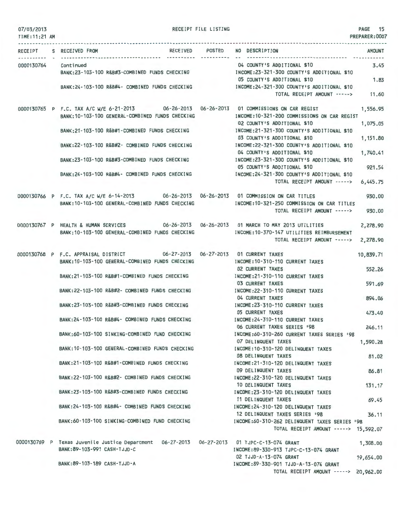| 07/03/2013     |                                                                                                                                               | RECEIPT FILE LISTING |                                                                                 | PAGE 15        |
|----------------|-----------------------------------------------------------------------------------------------------------------------------------------------|----------------------|---------------------------------------------------------------------------------|----------------|
| TIME: 11:21 AM |                                                                                                                                               |                      |                                                                                 | PREPARER: 0007 |
| . <b>.</b>     | RECEIPT S RECEIVED FROM                                                                                                                       | RECEIVED POSTED      | NO DESCRIPTION                                                                  | AMOUNT         |
| 0000130764     | Continued                                                                                                                                     |                      | 04 COUNTY'S ADDITIONAL \$10                                                     | 3.45           |
|                | BANK:23-103-100 R&B#3-COMBINED FUNDS CHECKING                                                                                                 |                      | INCOME:23-321-300 COUNTY'S ADDITIONAL \$10<br>05 COUNTY'S ADDITIONAL \$10       | 1.83           |
|                | BANK: 24-103-100 R&B#4- COMBINED FUNDS CHECKING                                                                                               |                      | INCOME:24-321-300 COUNTY'S ADDITIONAL \$10<br>TOTAL RECEIPT AMOUNT -----> 11.60 |                |
|                | 0000130765 P F.C. TAX A/C W/E 6-21-2013 06-26-2013 06-26-2013 01 COMMISSIONS ON CAR REGIST                                                    |                      |                                                                                 | 1,556.95       |
|                | BANK: 10-103-100 GENERAL-COMBINED FUNDS CHECKING                                                                                              |                      | INCOME:10-321-200 COMMISSIONS ON CAR REGIST<br>02 COUNTY'S ADDITIONAL \$10      | 1,075.05       |
|                | BANK:21-103-100 R&B#1-COMBINED FUNDS CHECKING                                                                                                 |                      | INCOME:21-321-300 COUNTY'S ADDITIONAL \$10<br>03 COUNTY'S ADDITIONAL \$10       | 1,151.80       |
|                | BANK:22-103-100 R&B#2- COMBINED FUNDS CHECKING                                                                                                |                      | INCOME: 22-321-300 COUNTY'S ADDITIONAL \$10<br>04 COUNTY'S ADDITIONAL \$10      | 1,740.41       |
|                | BANK:23-103-100 R&B#3-COMBINED FUNDS CHECKING                                                                                                 |                      | INCOME: 23-321-300 COUNTY'S ADDITIONAL \$10<br>05 COUNTY'S ADDITIONAL \$10      | 921.54         |
|                | BANK:24-103-100 R&B#4- COMBINED FUNDS CHECKING                                                                                                |                      | INCOME: 24-321-300 COUNTY'S ADDITIONAL \$10<br>TOTAL RECEIPT AMOUNT ----->      | 6,445.75       |
|                |                                                                                                                                               |                      |                                                                                 |                |
|                | 0000130766 P F.C. TAX A/C W/E 6-14-2013 06-26-2013 06-26-2013 01 COMMISSION ON CAR TITLES<br>BANK:10-103-100 GENERAL-COMBINED FUNDS CHECKING  |                      | INCOME: 10-321-250 COMMISSION ON CAR TITLES                                     | 930,00         |
|                |                                                                                                                                               |                      | TOTAL RECEIPT AMOUNT ----->                                                     | 930,00         |
|                | 0000130767 P HEALTH & HUMAN SERVICES 06-26-2013 06-26-2013 01 MARCH TO MAY 2013 UTILITIES<br>BANK: 10-103-100 GENERAL-COMBINED FUNDS CHECKING |                      | INCOME: 10-370-147 UTILITIES REIMBURSEMENT                                      | 2,278.90       |
|                |                                                                                                                                               |                      | TOTAL RECEIPT AMOUNT ----->                                                     | 2,278.90       |
|                | 0000130768 P F.C. APPRAISAL DISTRICT 06-27-2013 06-27-2013 01 CURRENT TAXES                                                                   |                      |                                                                                 | 10,839.71      |
|                | BANK: 10-103-100 GENERAL-COMBINED FUNDS CHECKING                                                                                              |                      | INCOME: 10-310-110 CURRENT TAXES<br><b>02 CURRENT TAXES</b>                     | 552.26         |
|                | BANK:21-103-100 R&B#1-COMBINED FUNDS CHECKING                                                                                                 |                      | INCOME: 21-310-110 CURRENT TAXES<br><b>03 CURRENT TAXES</b>                     | 591.69         |
|                | BANK:22-103-100 R&B#2- COMBINED FUNDS CHECKING                                                                                                |                      | INCOME: 22-310-110 CURRENT TAXES                                                |                |
|                | BANK:23-103-100 R&B#3-COMBINED FUNDS CHECKING                                                                                                 |                      | 04 CURRENT TAXES<br>INCOME: 23-310-110 CURRENT TAXES                            | 894.06         |
|                | BANK:24-103-100 R&B#4- COMBINED FUNDS CHECKING                                                                                                |                      | <b>05 CURRENT TAXES</b><br>INCOME:24-310-110 CURRENT TAXES                      | 473.40         |
|                | BANK:60-103-100 SINKING-COMBINED FUND CHECKING                                                                                                |                      | 06 CURRENT TAXES SERIES '98<br>INCOME:60-310-260 CURRENT TAXES SERIES '98       | 246.11         |
|                |                                                                                                                                               |                      | 07 DELINQUENT TAXES                                                             | 1,590.28       |
|                | BANK: 10-103-100 GENERAL-COMBINED FUNDS CHECKING                                                                                              |                      | INCOME: 10-310-120 DELINQUENT TAXES<br><b>08 DELINQUENT TAXES</b>               | 81.02          |
|                | BANK:21-103-100 R&B#1-COMBINED FUNDS CHECKING                                                                                                 |                      | INCOME: 21-310-120 DELINQUENT TAXES<br>09 DELINQUENT TAXES                      | 86.81          |
|                | BANK:22-103-100 R&B#2- COMBINED FUNDS CHECKING                                                                                                |                      | INCOME: 22-310-120 DELINQUENT TAXES                                             |                |
|                | BANK: 23-103-100 R&B#3-COMBINED FUNDS CHECKING                                                                                                |                      | 10 DELINQUENT TAXES<br>INCOME: 23-310-120 DELINQUENT TAXES                      | 131.17         |
|                | BANK: 24-103-100 R&B#4- COMBINED FUNDS CHECKING                                                                                               |                      | <b>11 DELINQUENT TAXES</b><br>INCOME:24-310-120 DELINQUENT TAXES                | 69.45          |
|                | BANK:60-103-100 SINKING-COMBINED FUND CHECKING                                                                                                |                      | 12 DELINQUENT TAXES SERIES '98<br>INCOME:60-310-262 DELINQUENT TAXES SERIES '98 | 36.11          |
|                |                                                                                                                                               |                      | TOTAL RECEIPT AMOUNT -----> 15,592.07                                           |                |
|                | 0000130769 P Texas Juvenile Justice Department 06-27-2013 06-27-2013 01 TJPC-C-13-074 GRANT<br>BANK:89-103-991 CASH-TJJD-C                    |                      | INCOME:89-330-913 TJPC-C-13-074 GRANT                                           | 1,308.00       |
|                | BANK: 89-103-189 CASH-TJJD-A                                                                                                                  |                      | 02 TJJD-A-13-074 GRANT<br>INCOME: 89-330-901 TJJD-A-13-074 GRANT                | 19,654.00      |
|                |                                                                                                                                               |                      | TOTAL RECEIPT AMOUNT -----> 20,962.00                                           |                |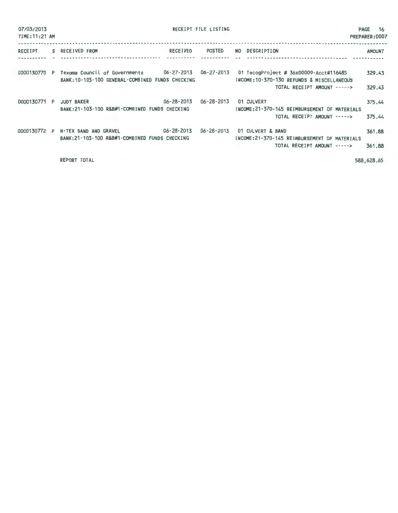| 07/03/2013<br>TIME: 11:21 AM |                                                                                                         |                  | RECEIPT FILE LISTING |                                                                                                                     | <b>16</b><br><b>PAGE</b><br>PREPARER: 0007 |
|------------------------------|---------------------------------------------------------------------------------------------------------|------------------|----------------------|---------------------------------------------------------------------------------------------------------------------|--------------------------------------------|
| RECEIPT                      | S RECEIVED FROM                                                                                         | <b>RECEIVED</b>  | POSTED               | NO DESCRIPTION<br>-------------------- --                                                                           | <b>AMOUNT</b>                              |
| 0000130770 P                 | Texoma Council of Governments 06-27-2013 06-27-2013<br>BANK: 10-103-100 GENERAL-COMBINED FUNDS CHECKING |                  |                      | 01 TecogProject # 36x00009-Acct#116485<br>INCOME: 10-370-130 REFUNDS & MISCELLANEOUS<br>TOTAL RECEIPT AMOUNT -----> | 329.43<br>329.43                           |
| 0000130771 P                 | <b>JUDY BAKER</b><br>BANK:21-103-100 R&B#1-COMBINED FUNDS CHECKING                                      | $06 - 28 - 2013$ | $06 - 28 - 2013$     | 01 CULVERT<br>INCOME:21-370-145 REIMBURSEMENT OF MATERIALS<br>TOTAL RECEIPT AMOUNT ----->                           | 375.44<br>375.44                           |
| 0000130772 P                 | N-TEX SAND AND GRAVEL 06-28-2013<br>BANK: 21-103-100 R&B#1-COMBINED FUNDS CHECKING                      |                  | $06 - 28 - 2013$     | 01 CULVERT & BAND<br>INCOME:21-370-145 REIMBURSEMENT OF MATERIALS<br>TOTAL RECEIPT AMOUNT ----->                    | 361.88<br>361.88                           |
|                              | <b>REPORT TOTAL</b>                                                                                     |                  |                      |                                                                                                                     | 588,628.65                                 |